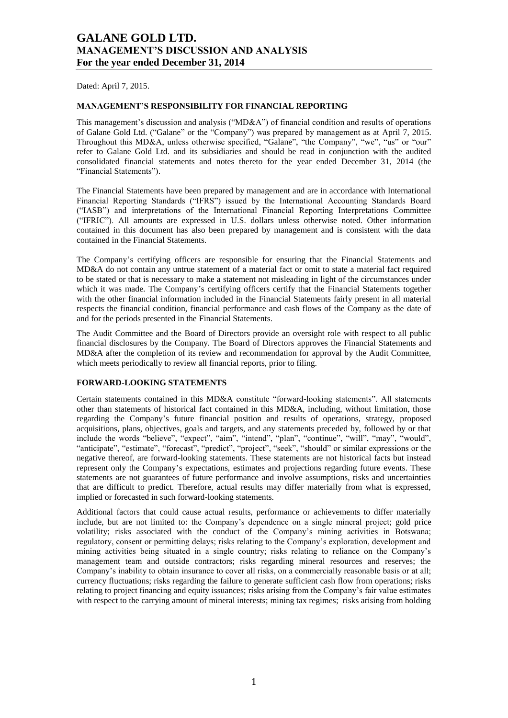Dated: April 7, 2015.

#### **MANAGEMENT'S RESPONSIBILITY FOR FINANCIAL REPORTING**

This management's discussion and analysis (" $MD&A$ ") of financial condition and results of operations of Galane Gold Ltd. ("Galane" or the "Company") was prepared by management as at April 7, 2015. Throughout this MD&A, unless otherwise specified, "Galane", "the Company", "we", "us" or "our" refer to Galane Gold Ltd. and its subsidiaries and should be read in conjunction with the audited consolidated financial statements and notes thereto for the year ended December 31, 2014 (the "Financial Statements").

The Financial Statements have been prepared by management and are in accordance with International Financial Reporting Standards ("IFRS") issued by the International Accounting Standards Board (―IASB‖) and interpretations of the International Financial Reporting Interpretations Committee (―IFRIC‖). All amounts are expressed in U.S. dollars unless otherwise noted. Other information contained in this document has also been prepared by management and is consistent with the data contained in the Financial Statements.

The Company's certifying officers are responsible for ensuring that the Financial Statements and MD&A do not contain any untrue statement of a material fact or omit to state a material fact required to be stated or that is necessary to make a statement not misleading in light of the circumstances under which it was made. The Company's certifying officers certify that the Financial Statements together with the other financial information included in the Financial Statements fairly present in all material respects the financial condition, financial performance and cash flows of the Company as the date of and for the periods presented in the Financial Statements.

The Audit Committee and the Board of Directors provide an oversight role with respect to all public financial disclosures by the Company. The Board of Directors approves the Financial Statements and MD&A after the completion of its review and recommendation for approval by the Audit Committee, which meets periodically to review all financial reports, prior to filing.

### **FORWARD-LOOKING STATEMENTS**

Certain statements contained in this MD&A constitute "forward-looking statements". All statements other than statements of historical fact contained in this MD&A, including, without limitation, those regarding the Company's future financial position and results of operations, strategy, proposed acquisitions, plans, objectives, goals and targets, and any statements preceded by, followed by or that include the words "believe", "expect", "aim", "intend", "plan", "continue", "will", "may", "would", ―anticipate‖, ―estimate‖, ―forecast‖, ―predict‖, ―project‖, ―seek‖, ―should‖ or similar expressions or the negative thereof, are forward-looking statements. These statements are not historical facts but instead represent only the Company's expectations, estimates and projections regarding future events. These statements are not guarantees of future performance and involve assumptions, risks and uncertainties that are difficult to predict. Therefore, actual results may differ materially from what is expressed, implied or forecasted in such forward-looking statements.

Additional factors that could cause actual results, performance or achievements to differ materially include, but are not limited to: the Company's dependence on a single mineral project; gold price volatility; risks associated with the conduct of the Company's mining activities in Botswana; regulatory, consent or permitting delays; risks relating to the Company's exploration, development and mining activities being situated in a single country; risks relating to reliance on the Company's management team and outside contractors; risks regarding mineral resources and reserves; the Company's inability to obtain insurance to cover all risks, on a commercially reasonable basis or at all; currency fluctuations; risks regarding the failure to generate sufficient cash flow from operations; risks relating to project financing and equity issuances; risks arising from the Company's fair value estimates with respect to the carrying amount of mineral interests; mining tax regimes; risks arising from holding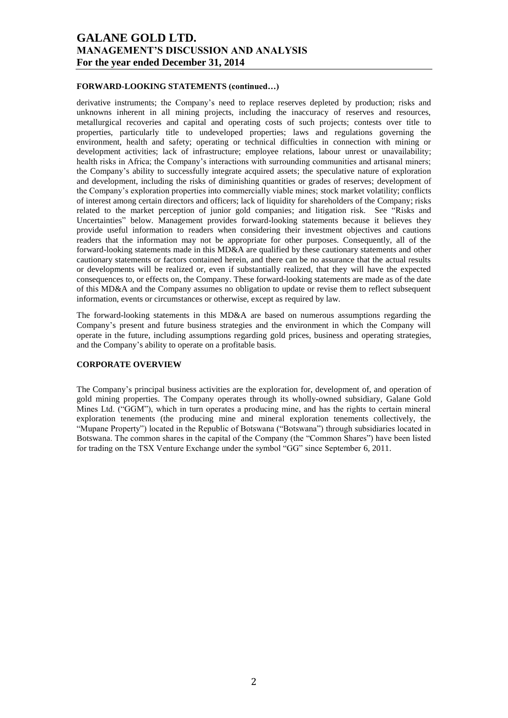#### **FORWARD-LOOKING STATEMENTS (continued…)**

derivative instruments; the Company's need to replace reserves depleted by production; risks and unknowns inherent in all mining projects, including the inaccuracy of reserves and resources, metallurgical recoveries and capital and operating costs of such projects; contests over title to properties, particularly title to undeveloped properties; laws and regulations governing the environment, health and safety; operating or technical difficulties in connection with mining or development activities; lack of infrastructure; employee relations, labour unrest or unavailability; health risks in Africa; the Company's interactions with surrounding communities and artisanal miners; the Company's ability to successfully integrate acquired assets; the speculative nature of exploration and development, including the risks of diminishing quantities or grades of reserves; development of the Company's exploration properties into commercially viable mines; stock market volatility; conflicts of interest among certain directors and officers; lack of liquidity for shareholders of the Company; risks related to the market perception of junior gold companies; and litigation risk. See "Risks and Uncertainties" below. Management provides forward-looking statements because it believes they provide useful information to readers when considering their investment objectives and cautions readers that the information may not be appropriate for other purposes. Consequently, all of the forward-looking statements made in this MD&A are qualified by these cautionary statements and other cautionary statements or factors contained herein, and there can be no assurance that the actual results or developments will be realized or, even if substantially realized, that they will have the expected consequences to, or effects on, the Company. These forward-looking statements are made as of the date of this MD&A and the Company assumes no obligation to update or revise them to reflect subsequent information, events or circumstances or otherwise, except as required by law.

The forward-looking statements in this MD&A are based on numerous assumptions regarding the Company's present and future business strategies and the environment in which the Company will operate in the future, including assumptions regarding gold prices, business and operating strategies, and the Company's ability to operate on a profitable basis.

#### **CORPORATE OVERVIEW**

The Company's principal business activities are the exploration for, development of, and operation of gold mining properties. The Company operates through its wholly-owned subsidiary, Galane Gold Mines Ltd. ("GGM"), which in turn operates a producing mine, and has the rights to certain mineral exploration tenements (the producing mine and mineral exploration tenements collectively, the ―Mupane Property‖) located in the Republic of Botswana (―Botswana‖) through subsidiaries located in Botswana. The common shares in the capital of the Company (the "Common Shares") have been listed for trading on the TSX Venture Exchange under the symbol "GG" since September 6, 2011.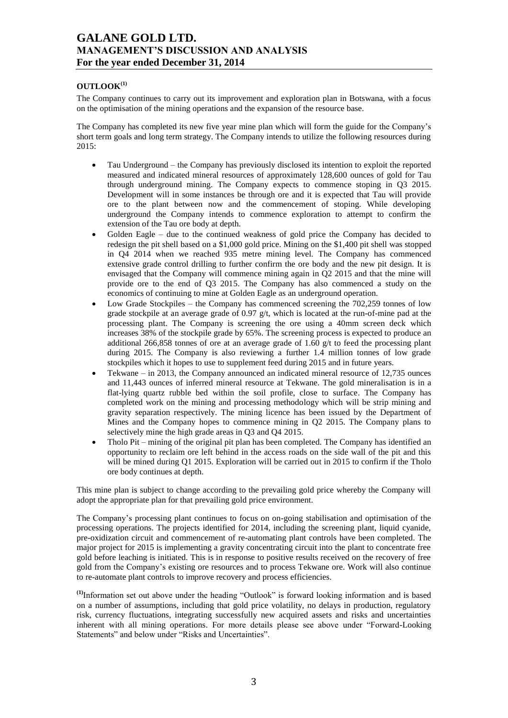## $\mathbf{O}$ **UTLOOK**<sup>(1)</sup>

The Company continues to carry out its improvement and exploration plan in Botswana, with a focus on the optimisation of the mining operations and the expansion of the resource base.

The Company has completed its new five year mine plan which will form the guide for the Company's short term goals and long term strategy. The Company intends to utilize the following resources during 2015:

- Tau Underground the Company has previously disclosed its intention to exploit the reported measured and indicated mineral resources of approximately 128,600 ounces of gold for Tau through underground mining. The Company expects to commence stoping in Q3 2015. Development will in some instances be through ore and it is expected that Tau will provide ore to the plant between now and the commencement of stoping. While developing underground the Company intends to commence exploration to attempt to confirm the extension of the Tau ore body at depth.
- Golden Eagle due to the continued weakness of gold price the Company has decided to redesign the pit shell based on a \$1,000 gold price. Mining on the \$1,400 pit shell was stopped in Q4 2014 when we reached 935 metre mining level. The Company has commenced extensive grade control drilling to further confirm the ore body and the new pit design. It is envisaged that the Company will commence mining again in Q2 2015 and that the mine will provide ore to the end of Q3 2015. The Company has also commenced a study on the economics of continuing to mine at Golden Eagle as an underground operation.
- Low Grade Stockpiles the Company has commenced screening the 702,259 tonnes of low grade stockpile at an average grade of  $0.97 \frac{g}{t}$ , which is located at the run-of-mine pad at the processing plant. The Company is screening the ore using a 40mm screen deck which increases 38% of the stockpile grade by 65%. The screening process is expected to produce an additional 266,858 tonnes of ore at an average grade of 1.60 g/t to feed the processing plant during 2015. The Company is also reviewing a further 1.4 million tonnes of low grade stockpiles which it hopes to use to supplement feed during 2015 and in future years.
- Tekwane in 2013, the Company announced an indicated mineral resource of 12,735 ounces and 11,443 ounces of inferred mineral resource at Tekwane. The gold mineralisation is in a flat-lying quartz rubble bed within the soil profile, close to surface. The Company has completed work on the mining and processing methodology which will be strip mining and gravity separation respectively. The mining licence has been issued by the Department of Mines and the Company hopes to commence mining in Q2 2015. The Company plans to selectively mine the high grade areas in Q3 and Q4 2015.
- Tholo Pit mining of the original pit plan has been completed. The Company has identified an opportunity to reclaim ore left behind in the access roads on the side wall of the pit and this will be mined during Q1 2015. Exploration will be carried out in 2015 to confirm if the Tholo ore body continues at depth.

This mine plan is subject to change according to the prevailing gold price whereby the Company will adopt the appropriate plan for that prevailing gold price environment.

The Company's processing plant continues to focus on on-going stabilisation and optimisation of the processing operations. The projects identified for 2014, including the screening plant, liquid cyanide, pre-oxidization circuit and commencement of re-automating plant controls have been completed. The major project for 2015 is implementing a gravity concentrating circuit into the plant to concentrate free gold before leaching is initiated. This is in response to positive results received on the recovery of free gold from the Company's existing ore resources and to process Tekwane ore. Work will also continue to re-automate plant controls to improve recovery and process efficiencies.

<sup>(1)</sup>Information set out above under the heading "Outlook" is forward looking information and is based on a number of assumptions, including that gold price volatility, no delays in production, regulatory risk, currency fluctuations, integrating successfully new acquired assets and risks and uncertainties inherent with all mining operations. For more details please see above under "Forward-Looking Statements" and below under "Risks and Uncertainties".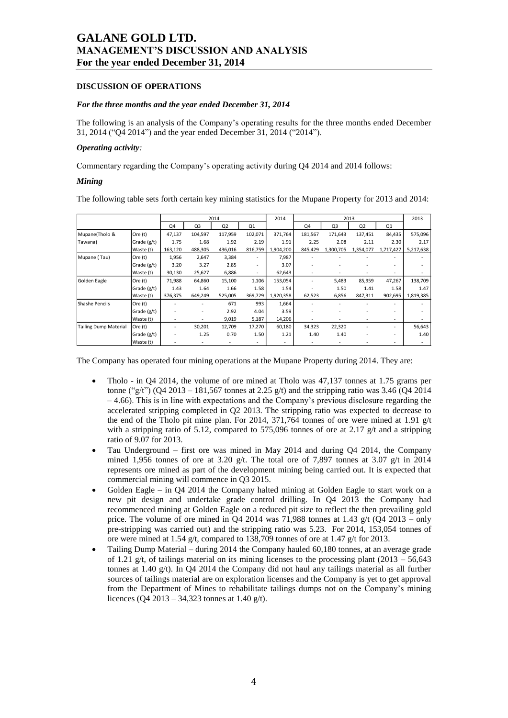#### **DISCUSSION OF OPERATIONS**

#### *For the three months and the year ended December 31, 2014*

The following is an analysis of the Company's operating results for the three months ended December 31, 2014 ("Q4 2014") and the year ended December 31, 2014 ("2014").

#### *Operating activity:*

Commentary regarding the Company's operating activity during Q4 2014 and 2014 follows:

#### *Mining*

The following table sets forth certain key mining statistics for the Mupane Property for 2013 and 2014:

|                              |               |         |                          | 2014           |                          | 2014      |         |           | 2013      |           | 2013                     |
|------------------------------|---------------|---------|--------------------------|----------------|--------------------------|-----------|---------|-----------|-----------|-----------|--------------------------|
|                              |               | Q4      | Q3                       | Q <sub>2</sub> | Q1                       |           | Q4      | Q3        | Q2        | Q1        |                          |
| Mupane(Tholo &               | Ore (t)       | 47,137  | 104,597                  | 117,959        | 102,071                  | 371,764   | 181,567 | 171,643   | 137,451   | 84,435    | 575,096                  |
| Tawana)                      | Grade $(g/t)$ | 1.75    | 1.68                     | 1.92           | 2.19                     | 1.91      | 2.25    | 2.08      | 2.11      | 2.30      | 2.17                     |
|                              | Waste (t)     | 163,120 | 488,305                  | 436,016        | 816,759                  | 1,904,200 | 845,429 | 1,300,705 | 1,354,077 | 1,717,427 | 5,217,638                |
| Mupane (Tau)                 | Ore (t)       | 1,956   | 2,647                    | 3,384          | ٠                        | 7,987     |         |           |           |           |                          |
|                              | Grade $(g/t)$ | 3.20    | 3.27                     | 2.85           | $\overline{\phantom{a}}$ | 3.07      |         |           |           |           |                          |
|                              | Waste (t)     | 30,130  | 25,627                   | 6,886          | $\overline{\phantom{a}}$ | 62,643    |         |           |           |           |                          |
| Golden Eagle                 | Ore (t)       | 71,988  | 64,860                   | 15,100         | 1,106                    | 153,054   |         | 5,483     | 85,959    | 47,267    | 138,709                  |
|                              | Grade $(g/t)$ | 1.43    | 1.64                     | 1.66           | 1.58                     | 1.54      |         | 1.50      | 1.41      | 1.58      | 1.47                     |
|                              | Waste (t)     | 376,375 | 649,249                  | 525,005        | 369,729                  | 1,920,358 | 62,523  | 6,856     | 847,311   | 902,695   | 1,819,385                |
| Shashe Pencils               | Ore (t)       |         |                          | 671            | 993                      | 1,664     |         |           |           |           |                          |
|                              | Grade $(g/t)$ |         | $\overline{\phantom{a}}$ | 2.92           | 4.04                     | 3.59      |         |           |           |           |                          |
|                              | Waste (t)     |         |                          | 9,019          | 5,187                    | 14,206    |         |           |           |           |                          |
| <b>Tailing Dump Material</b> | Ore (t)       |         | 30,201                   | 12,709         | 17,270                   | 60,180    | 34,323  | 22,320    |           |           | 56,643                   |
|                              | Grade $(g/t)$ |         | 1.25                     | 0.70           | 1.50                     | 1.21      | 1.40    | 1.40      |           |           | 1.40                     |
|                              | Waste (t)     |         | $\overline{\phantom{a}}$ |                | ٠                        |           |         |           |           |           | $\overline{\phantom{a}}$ |

The Company has operated four mining operations at the Mupane Property during 2014. They are:

- Tholo in Q4 2014, the volume of ore mined at Tholo was 47,137 tonnes at 1.75 grams per tonne ("g/t") (O4 2013 – 181,567 tonnes at 2.25 g/t) and the stripping ratio was 3.46 (O4 2014)  $-4.66$ ). This is in line with expectations and the Company's previous disclosure regarding the accelerated stripping completed in Q2 2013. The stripping ratio was expected to decrease to the end of the Tholo pit mine plan. For 2014, 371,764 tonnes of ore were mined at 1.91 g/t with a stripping ratio of 5.12, compared to 575,096 tonnes of ore at 2.17  $g/t$  and a stripping ratio of 9.07 for 2013.
- Tau Underground first ore was mined in May 2014 and during Q4 2014, the Company mined 1,956 tonnes of ore at 3.20 g/t. The total ore of 7,897 tonnes at 3.07 g/t in 2014 represents ore mined as part of the development mining being carried out. It is expected that commercial mining will commence in Q3 2015.
- Golden Eagle in Q4 2014 the Company halted mining at Golden Eagle to start work on a new pit design and undertake grade control drilling. In Q4 2013 the Company had recommenced mining at Golden Eagle on a reduced pit size to reflect the then prevailing gold price. The volume of ore mined in  $Q_4$  2014 was 71,988 tonnes at 1.43 g/t  $(Q_4$  2013 – only pre-stripping was carried out) and the stripping ratio was 5.23. For 2014, 153,054 tonnes of ore were mined at 1.54 g/t, compared to 138,709 tonnes of ore at 1.47 g/t for 2013.
- Tailing Dump Material during 2014 the Company hauled 60,180 tonnes, at an average grade of 1.21 g/t, of tailings material on its mining licenses to the processing plant (2013 – 56,643) tonnes at 1.40 g/t). In Q4 2014 the Company did not haul any tailings material as all further sources of tailings material are on exploration licenses and the Company is yet to get approval from the Department of Mines to rehabilitate tailings dumps not on the Company's mining licences (O4 2013 – 34,323 tonnes at 1.40  $g$ /t).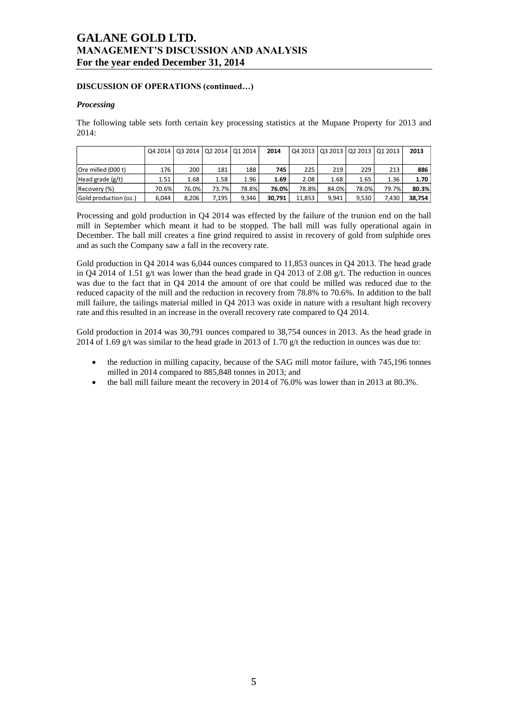### **DISCUSSION OF OPERATIONS (continued…)**

### *Processing*

The following table sets forth certain key processing statistics at the Mupane Property for 2013 and 2014:

|                       | Q4 2014 | 03 2014 02 2014 01 2014 |       |       | 2014   |        |       | Q4 2013   Q3 2013   Q2 2013   Q1 2013 |       | 2013   |
|-----------------------|---------|-------------------------|-------|-------|--------|--------|-------|---------------------------------------|-------|--------|
|                       |         |                         |       |       |        |        |       |                                       |       |        |
| Ore milled (000 t)    | 176     | 200                     | 181   | 188   | 745    | 225    | 219   | 229                                   | 213   | 886    |
| Head grade $(g/t)$    | 1.51    | 1.68                    | 1.58  | 1.96  | 1.69   | 2.08   | 1.68  | 1.65                                  | 1.36  | 1.70   |
| Recovery (%)          | 70.6%   | 76.0%                   | 73.7% | 78.8% | 76.0%  | 78.8%  | 84.0% | 78.0%                                 | 79.7% | 80.3%  |
| Gold production (oz.) | 6.044   | 8.206                   | 7.195 | 9.346 | 30.791 | 11.853 | 9.941 | 9.530                                 | 7.430 | 38,754 |

Processing and gold production in Q4 2014 was effected by the failure of the trunion end on the ball mill in September which meant it had to be stopped. The ball mill was fully operational again in December. The ball mill creates a fine grind required to assist in recovery of gold from sulphide ores and as such the Company saw a fall in the recovery rate.

Gold production in Q4 2014 was 6,044 ounces compared to 11,853 ounces in Q4 2013. The head grade in Q4 2014 of 1.51 g/t was lower than the head grade in Q4 2013 of 2.08 g/t. The reduction in ounces was due to the fact that in Q4 2014 the amount of ore that could be milled was reduced due to the reduced capacity of the mill and the reduction in recovery from 78.8% to 70.6%. In addition to the ball mill failure, the tailings material milled in Q4 2013 was oxide in nature with a resultant high recovery rate and this resulted in an increase in the overall recovery rate compared to Q4 2014.

Gold production in 2014 was 30,791 ounces compared to 38,754 ounces in 2013. As the head grade in 2014 of 1.69 g/t was similar to the head grade in 2013 of 1.70 g/t the reduction in ounces was due to:

- the reduction in milling capacity, because of the SAG mill motor failure, with 745,196 tonnes milled in 2014 compared to 885,848 tonnes in 2013; and
- the ball mill failure meant the recovery in 2014 of 76.0% was lower than in 2013 at 80.3%.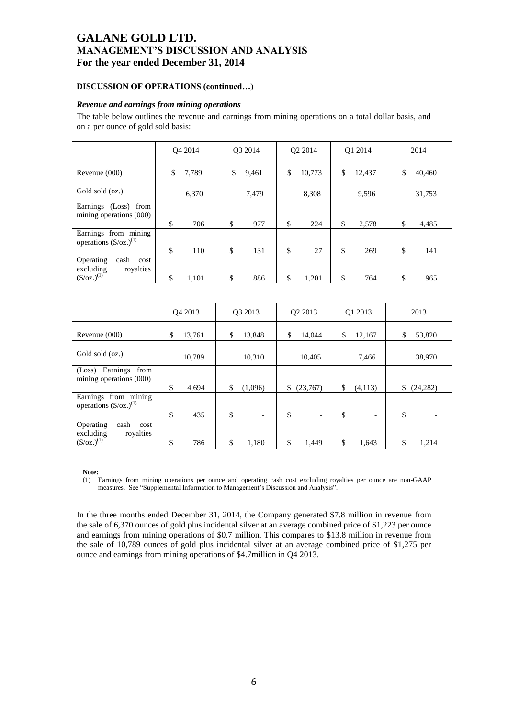### **DISCUSSION OF OPERATIONS (continued…)**

### *Revenue and earnings from mining operations*

The table below outlines the revenue and earnings from mining operations on a total dollar basis, and on a per ounce of gold sold basis:

|                                                           | O <sub>4</sub> 2014 |    | O3 2014 | O <sub>2</sub> 2014 | O1 2014      | 2014         |
|-----------------------------------------------------------|---------------------|----|---------|---------------------|--------------|--------------|
| Revenue $(000)$                                           | \$<br>7,789         | \$ | 9,461   | \$<br>10,773        | \$<br>12,437 | \$<br>40,460 |
| Gold sold (oz.)                                           | 6,370               |    | 7,479   | 8,308               | 9,596        | 31,753       |
| Earnings (Loss) from<br>mining operations (000)           | \$<br>706           | \$ | 977     | \$<br>224           | \$<br>2,578  | \$<br>4,485  |
| Earnings from mining<br>operations $(\frac{5}{oz})^{(1)}$ |                     |    |         |                     |              |              |
| Operating<br>cash<br>cost                                 | \$<br>110           | \$ | 131     | \$<br>27            | \$<br>269    | \$<br>141    |
| excluding<br>royalties<br>$(S/oz.)^{(1)}$                 | \$<br>1,101         | \$ | 886     | \$<br>1,201         | \$<br>764    | \$<br>965    |

|                                                                        | O <sub>4</sub> 2013 | Q3 2013                        | Q2 2013                        | Q1 2013                        | 2013            |
|------------------------------------------------------------------------|---------------------|--------------------------------|--------------------------------|--------------------------------|-----------------|
| Revenue $(000)$                                                        | 13,761<br>S         | \$<br>13,848                   | \$<br>14,044                   | \$<br>12,167                   | 53,820<br>\$    |
| Gold sold (oz.)                                                        | 10,789              | 10,310                         | 10,405                         | 7,466                          | 38,970          |
| Earnings<br>from<br>(Loss)<br>mining operations (000)                  | \$<br>4,694         | \$<br>(1,096)                  | \$<br>(23,767)                 | \$<br>(4,113)                  | \$<br>(24, 282) |
| Earnings from mining<br>operations $(\frac{5}{oz})^{(1)}$              | \$<br>435           | \$<br>$\overline{\phantom{a}}$ | \$<br>$\overline{\phantom{a}}$ | \$<br>$\overline{\phantom{a}}$ | \$              |
| Operating<br>cash<br>cost<br>royalties<br>excluding<br>$(S/oz.)^{(1)}$ | \$<br>786           | \$<br>1,180                    | \$<br>1,449                    | \$<br>1,643                    | \$<br>1,214     |

**Note:**

(1) Earnings from mining operations per ounce and operating cash cost excluding royalties per ounce are non-GAAP measures. See "Supplemental Information to Management's Discussion and Analysis".

In the three months ended December 31, 2014, the Company generated \$7.8 million in revenue from the sale of 6,370 ounces of gold plus incidental silver at an average combined price of \$1,223 per ounce and earnings from mining operations of \$0.7 million. This compares to \$13.8 million in revenue from the sale of 10,789 ounces of gold plus incidental silver at an average combined price of \$1,275 per ounce and earnings from mining operations of \$4.7million in Q4 2013.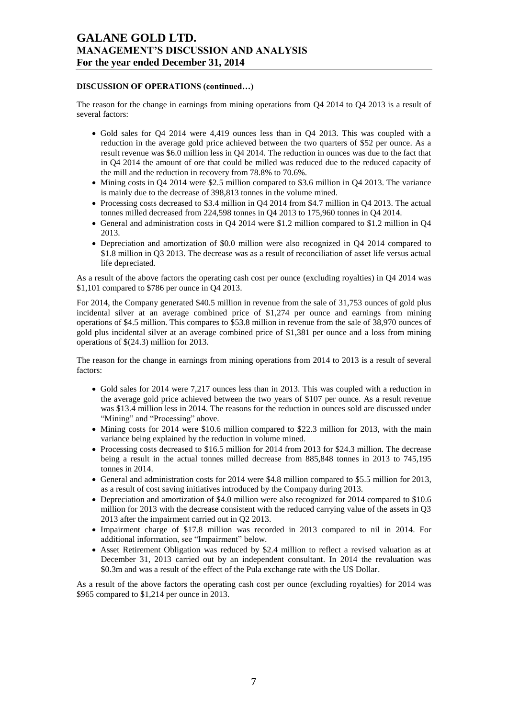### **DISCUSSION OF OPERATIONS (continued…)**

The reason for the change in earnings from mining operations from Q4 2014 to Q4 2013 is a result of several factors:

- Gold sales for Q4 2014 were 4,419 ounces less than in Q4 2013. This was coupled with a reduction in the average gold price achieved between the two quarters of \$52 per ounce. As a result revenue was \$6.0 million less in Q4 2014. The reduction in ounces was due to the fact that in Q4 2014 the amount of ore that could be milled was reduced due to the reduced capacity of the mill and the reduction in recovery from 78.8% to 70.6%.
- $\bullet$  Mining costs in Q4 2014 were \$2.5 million compared to \$3.6 million in Q4 2013. The variance is mainly due to the decrease of 398,813 tonnes in the volume mined.
- Processing costs decreased to \$3.4 million in Q4 2014 from \$4.7 million in Q4 2013. The actual tonnes milled decreased from 224,598 tonnes in Q4 2013 to 175,960 tonnes in Q4 2014.
- General and administration costs in Q4 2014 were \$1.2 million compared to \$1.2 million in Q4 2013.
- Depreciation and amortization of \$0.0 million were also recognized in Q4 2014 compared to \$1.8 million in Q3 2013. The decrease was as a result of reconciliation of asset life versus actual life depreciated.

As a result of the above factors the operating cash cost per ounce (excluding royalties) in Q4 2014 was \$1,101 compared to \$786 per ounce in Q4 2013.

For 2014, the Company generated \$40.5 million in revenue from the sale of 31,753 ounces of gold plus incidental silver at an average combined price of \$1,274 per ounce and earnings from mining operations of \$4.5 million. This compares to \$53.8 million in revenue from the sale of 38,970 ounces of gold plus incidental silver at an average combined price of \$1,381 per ounce and a loss from mining operations of \$(24.3) million for 2013.

The reason for the change in earnings from mining operations from 2014 to 2013 is a result of several factors:

- Gold sales for 2014 were 7,217 ounces less than in 2013. This was coupled with a reduction in the average gold price achieved between the two years of \$107 per ounce. As a result revenue was \$13.4 million less in 2014. The reasons for the reduction in ounces sold are discussed under "Mining" and "Processing" above.
- Mining costs for 2014 were \$10.6 million compared to \$22.3 million for 2013, with the main variance being explained by the reduction in volume mined.
- Processing costs decreased to \$16.5 million for 2014 from 2013 for \$24.3 million. The decrease being a result in the actual tonnes milled decrease from 885,848 tonnes in 2013 to 745,195 tonnes in 2014.
- General and administration costs for 2014 were \$4.8 million compared to \$5.5 million for 2013, as a result of cost saving initiatives introduced by the Company during 2013.
- Depreciation and amortization of \$4.0 million were also recognized for 2014 compared to \$10.6 million for 2013 with the decrease consistent with the reduced carrying value of the assets in Q3 2013 after the impairment carried out in Q2 2013.
- Impairment charge of \$17.8 million was recorded in 2013 compared to nil in 2014. For additional information, see "Impairment" below.
- Asset Retirement Obligation was reduced by \$2.4 million to reflect a revised valuation as at December 31, 2013 carried out by an independent consultant. In 2014 the revaluation was \$0.3m and was a result of the effect of the Pula exchange rate with the US Dollar.

As a result of the above factors the operating cash cost per ounce (excluding royalties) for 2014 was \$965 compared to \$1,214 per ounce in 2013.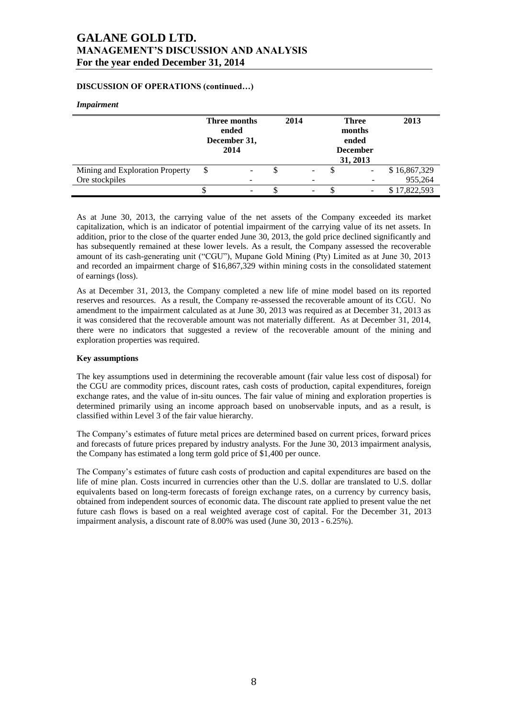## **DISCUSSION OF OPERATIONS (continued…)**

### *Impairment*

|                                 | Three months<br>ended<br>December 31,<br>2014 | 2014 | <b>Three</b><br>months<br>ended<br><b>December</b><br>31, 2013 | 2013         |
|---------------------------------|-----------------------------------------------|------|----------------------------------------------------------------|--------------|
| Mining and Exploration Property | -                                             |      |                                                                | \$16,867,329 |
| Ore stockpiles                  | -                                             | -    |                                                                | 955,264      |
|                                 | -                                             |      |                                                                | \$17,822,593 |

As at June 30, 2013, the carrying value of the net assets of the Company exceeded its market capitalization, which is an indicator of potential impairment of the carrying value of its net assets. In addition, prior to the close of the quarter ended June 30, 2013, the gold price declined significantly and has subsequently remained at these lower levels. As a result, the Company assessed the recoverable amount of its cash-generating unit ("CGU"), Mupane Gold Mining (Pty) Limited as at June 30, 2013 and recorded an impairment charge of \$16,867,329 within mining costs in the consolidated statement of earnings (loss).

As at December 31, 2013, the Company completed a new life of mine model based on its reported reserves and resources. As a result, the Company re-assessed the recoverable amount of its CGU. No amendment to the impairment calculated as at June 30, 2013 was required as at December 31, 2013 as it was considered that the recoverable amount was not materially different. As at December 31, 2014, there were no indicators that suggested a review of the recoverable amount of the mining and exploration properties was required.

#### **Key assumptions**

The key assumptions used in determining the recoverable amount (fair value less cost of disposal) for the CGU are commodity prices, discount rates, cash costs of production, capital expenditures, foreign exchange rates, and the value of in-situ ounces. The fair value of mining and exploration properties is determined primarily using an income approach based on unobservable inputs, and as a result, is classified within Level 3 of the fair value hierarchy.

The Company's estimates of future metal prices are determined based on current prices, forward prices and forecasts of future prices prepared by industry analysts. For the June 30, 2013 impairment analysis, the Company has estimated a long term gold price of \$1,400 per ounce.

The Company's estimates of future cash costs of production and capital expenditures are based on the life of mine plan. Costs incurred in currencies other than the U.S. dollar are translated to U.S. dollar equivalents based on long-term forecasts of foreign exchange rates, on a currency by currency basis, obtained from independent sources of economic data. The discount rate applied to present value the net future cash flows is based on a real weighted average cost of capital. For the December 31, 2013 impairment analysis, a discount rate of 8.00% was used (June 30, 2013 - 6.25%).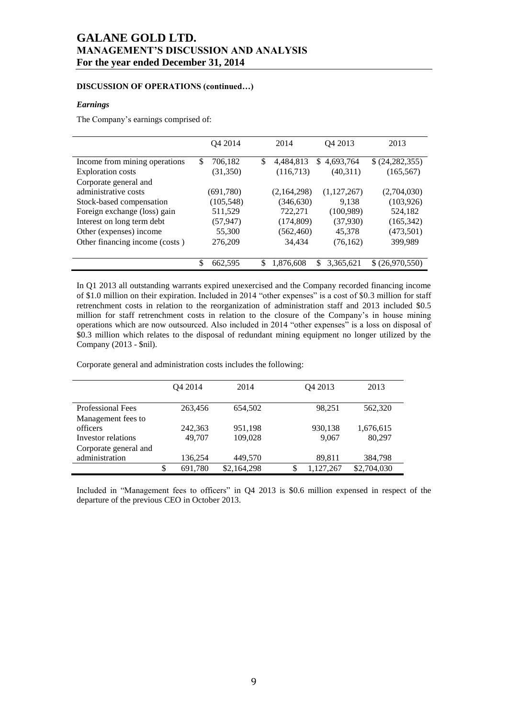### **DISCUSSION OF OPERATIONS (continued…)**

#### *Earnings*

The Company's earnings comprised of:

|                                | Q4 2014       | 2014            | Q4 2013          | 2013            |
|--------------------------------|---------------|-----------------|------------------|-----------------|
| Income from mining operations  | \$<br>706,182 | \$<br>4,484,813 | 4,693,764<br>\$. | (24, 282, 355)  |
| <b>Exploration costs</b>       | (31, 350)     | (116,713)       | (40,311)         | (165, 567)      |
| Corporate general and          |               |                 |                  |                 |
| administrative costs           | (691,780)     | (2,164,298)     | (1,127,267)      | (2,704,030)     |
| Stock-based compensation       | (105, 548)    | (346, 630)      | 9.138            | (103, 926)      |
| Foreign exchange (loss) gain   | 511,529       | 722,271         | (100, 989)       | 524,182         |
| Interest on long term debt     | (57, 947)     | (174, 809)      | (37,930)         | (165, 342)      |
| Other (expenses) income        | 55,300        | (562, 460)      | 45,378           | (473,501)       |
| Other financing income (costs) | 276,209       | 34,434          | (76,162)         | 399,989         |
|                                |               |                 |                  |                 |
|                                | \$<br>662,595 | \$<br>1,876,608 | 3,365,621<br>S   | \$ (26,970,550) |

In Q1 2013 all outstanding warrants expired unexercised and the Company recorded financing income of \$1.0 million on their expiration. Included in 2014 "other expenses" is a cost of \$0.3 million for staff retrenchment costs in relation to the reorganization of administration staff and 2013 included \$0.5 million for staff retrenchment costs in relation to the closure of the Company's in house mining operations which are now outsourced. Also included in 2014 "other expenses" is a loss on disposal of \$0.3 million which relates to the disposal of redundant mining equipment no longer utilized by the Company (2013 - \$nil).

Corporate general and administration costs includes the following:

|                          | O <sub>4</sub> 2014 | 2014 |             |    | O <sub>4</sub> 2013 | 2013        |  |
|--------------------------|---------------------|------|-------------|----|---------------------|-------------|--|
|                          |                     |      |             |    |                     |             |  |
| <b>Professional Fees</b> | 263,456             |      | 654.502     |    | 98.251              | 562,320     |  |
| Management fees to       |                     |      |             |    |                     |             |  |
| officers                 | 242.363             |      | 951,198     |    | 930,138             | 1,676,615   |  |
| Investor relations       | 49,707              |      | 109,028     |    | 9,067               | 80,297      |  |
| Corporate general and    |                     |      |             |    |                     |             |  |
| administration           | 136,254             |      | 449,570     |    | 89,811              | 384,798     |  |
|                          | \$<br>691,780       |      | \$2,164,298 | \$ | 1,127,267           | \$2,704,030 |  |

Included in "Management fees to officers" in Q4 2013 is \$0.6 million expensed in respect of the departure of the previous CEO in October 2013.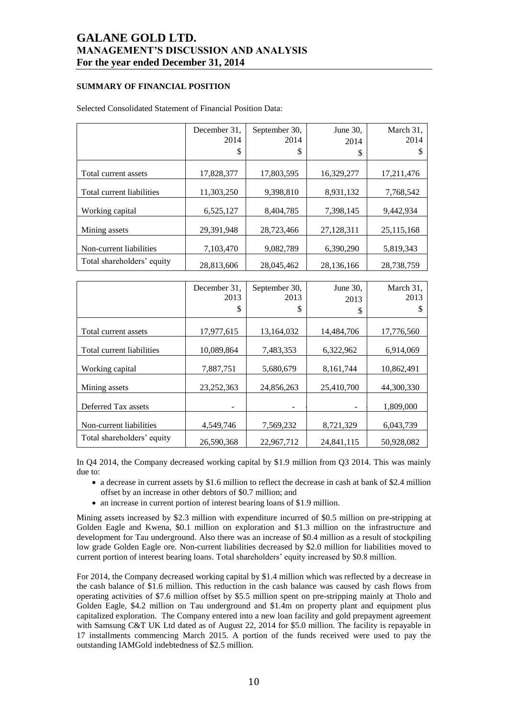### **SUMMARY OF FINANCIAL POSITION**

|                            | December 31.<br>2014<br>\$ | September 30.<br>2014<br>S | June 30,<br>2014<br>\$ | March 31,<br>2014 |
|----------------------------|----------------------------|----------------------------|------------------------|-------------------|
| Total current assets       | 17.828.377                 | 17.803.595                 | 16.329.277             | 17,211,476        |
| Total current liabilities  | 11,303,250                 | 9,398,810                  | 8,931,132              | 7,768,542         |
| Working capital            | 6,525,127                  | 8,404,785                  | 7,398,145              | 9,442,934         |
| Mining assets              | 29,391,948                 | 28,723,466                 | 27,128,311             | 25,115,168        |
| Non-current liabilities    | 7,103,470                  | 9,082,789                  | 6,390,290              | 5,819,343         |
| Total shareholders' equity | 28,813,606                 | 28,045,462                 | 28,136,166             | 28,738,759        |

### Selected Consolidated Statement of Financial Position Data:

|                            | December 31,<br>2013<br>\$ | September 30,<br>2013<br>\$ | June 30,<br>2013<br>\$ | March 31,<br>2013<br>S |
|----------------------------|----------------------------|-----------------------------|------------------------|------------------------|
| Total current assets       | 17,977,615                 | 13,164,032                  | 14,484,706             | 17,776,560             |
| Total current liabilities  | 10,089,864                 | 7,483,353                   | 6,322,962              | 6,914,069              |
| Working capital            | 7,887,751                  | 5,680,679                   | 8,161,744              | 10,862,491             |
| Mining assets              | 23, 252, 363               | 24,856,263                  | 25,410,700             | 44.300.330             |
| Deferred Tax assets        |                            |                             |                        | 1,809,000              |
| Non-current liabilities    | 4,549,746                  | 7,569,232                   | 8,721,329              | 6,043,739              |
| Total shareholders' equity | 26,590,368                 | 22,967,712                  | 24,841,115             | 50,928,082             |

In Q4 2014, the Company decreased working capital by \$1.9 million from Q3 2014. This was mainly due to:

- a decrease in current assets by \$1.6 million to reflect the decrease in cash at bank of \$2.4 million offset by an increase in other debtors of \$0.7 million; and
- an increase in current portion of interest bearing loans of \$1.9 million.

Mining assets increased by \$2.3 million with expenditure incurred of \$0.5 million on pre-stripping at Golden Eagle and Kwena, \$0.1 million on exploration and \$1.3 million on the infrastructure and development for Tau underground. Also there was an increase of \$0.4 million as a result of stockpiling low grade Golden Eagle ore. Non-current liabilities decreased by \$2.0 million for liabilities moved to current portion of interest bearing loans. Total shareholders' equity increased by \$0.8 million.

For 2014, the Company decreased working capital by \$1.4 million which was reflected by a decrease in the cash balance of \$1.6 million. This reduction in the cash balance was caused by cash flows from operating activities of \$7.6 million offset by \$5.5 million spent on pre-stripping mainly at Tholo and Golden Eagle, \$4.2 million on Tau underground and \$1.4m on property plant and equipment plus capitalized exploration. The Company entered into a new loan facility and gold prepayment agreement with Samsung C&T UK Ltd dated as of August 22, 2014 for \$5.0 million. The facility is repayable in 17 installments commencing March 2015. A portion of the funds received were used to pay the outstanding IAMGold indebtedness of \$2.5 million.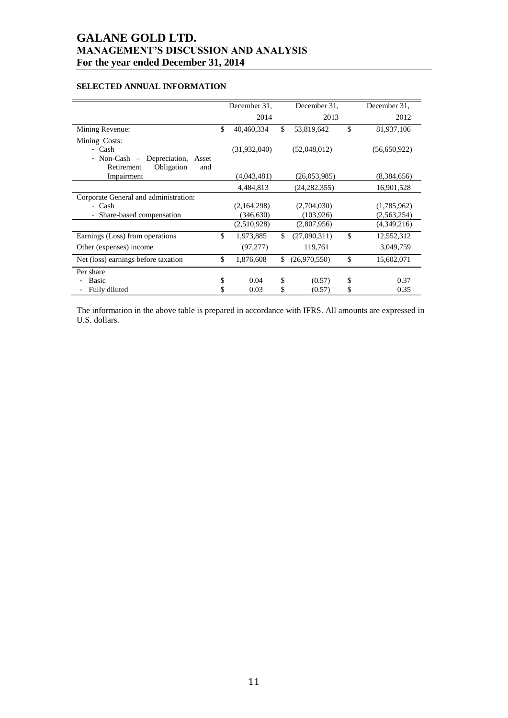## **SELECTED ANNUAL INFORMATION**

|                                            | December 31. |              |     |                | December 31.     |
|--------------------------------------------|--------------|--------------|-----|----------------|------------------|
|                                            |              |              |     | December 31.   |                  |
|                                            |              | 2014         |     | 2013           | 2012             |
| Mining Revenue:                            | \$           | 40,460,334   | \$  | 53,819,642     | \$<br>81,937,106 |
| Mining Costs:                              |              |              |     |                |                  |
| - Cash                                     |              | (31,932,040) |     | (52,048,012)   | (56,650,922)     |
| $-$ Non-Cash $-$<br>Depreciation,<br>Asset |              |              |     |                |                  |
| Obligation<br>Retirement<br>and            |              |              |     |                |                  |
| Impairment                                 |              | (4,043,481)  |     | (26,053,985)   | (8,384,656)      |
|                                            |              | 4,484,813    |     | (24, 282, 355) | 16,901,528       |
| Corporate General and administration:      |              |              |     |                |                  |
| - Cash                                     |              | (2,164,298)  |     | (2,704,030)    | (1,785,962)      |
| - Share-based compensation                 |              | (346, 630)   |     | (103, 926)     | (2,563,254)      |
|                                            |              | (2,510,928)  |     | (2,807,956)    | (4,349,216)      |
| Earnings (Loss) from operations            | \$           | 1,973,885    | \$  | (27,090,311)   | \$<br>12,552,312 |
| Other (expenses) income                    |              | (97, 277)    |     | 119,761        | 3,049,759        |
| Net (loss) earnings before taxation        | \$           | 1,876,608    | \$. | (26,970,550)   | \$<br>15,602,071 |
| Per share                                  |              |              |     |                |                  |
| Basic                                      | \$           | 0.04         | \$  | (0.57)         | \$<br>0.37       |
| Fully diluted                              | \$           | 0.03         | \$  | (0.57)         | \$<br>0.35       |

The information in the above table is prepared in accordance with IFRS. All amounts are expressed in U.S. dollars.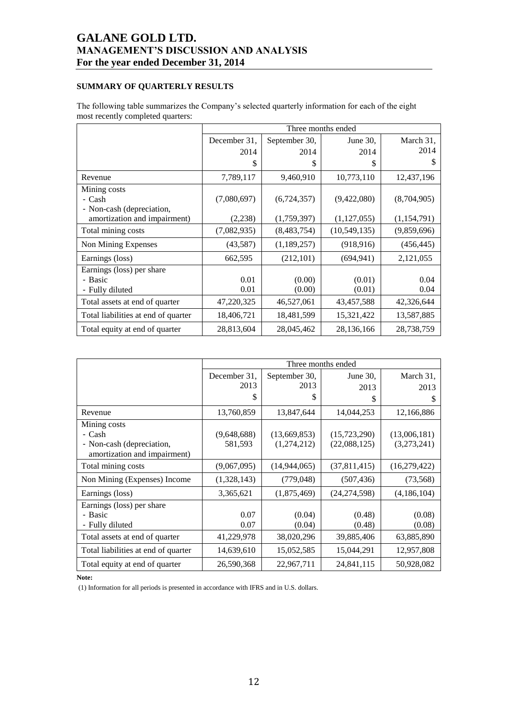## **SUMMARY OF QUARTERLY RESULTS**

The following table summarizes the Company's selected quarterly information for each of the eight most recently completed quarters:

|                                                           |              |               | Three months ended |               |
|-----------------------------------------------------------|--------------|---------------|--------------------|---------------|
|                                                           | December 31, | September 30, | June $30$ ,        | March 31,     |
|                                                           | 2014         | 2014          | 2014               | 2014          |
|                                                           | \$           | \$            | \$                 | \$            |
| Revenue                                                   | 7,789,117    | 9,460,910     | 10,773,110         | 12,437,196    |
| Mining costs                                              |              |               |                    |               |
| - Cash                                                    | (7,080,697)  | (6,724,357)   | (9,422,080)        | (8,704,905)   |
| - Non-cash (depreciation,<br>amortization and impairment) | (2,238)      | (1,759,397)   | (1,127,055)        | (1, 154, 791) |
| Total mining costs                                        | (7,082,935)  | (8,483,754)   | (10, 549, 135)     | (9,859,696)   |
| Non Mining Expenses                                       | (43,587)     | (1,189,257)   | (918, 916)         | (456, 445)    |
| Earnings (loss)                                           | 662,595      | (212, 101)    | (694, 941)         | 2,121,055     |
| Earnings (loss) per share                                 |              |               |                    |               |
| - Basic                                                   | 0.01         | (0.00)        | (0.01)             | 0.04          |
| - Fully diluted                                           | 0.01         | (0.00)        | (0.01)             | 0.04          |
| Total assets at end of quarter                            | 47,220,325   | 46,527,061    | 43,457,588         | 42,326,644    |
| Total liabilities at end of quarter                       | 18,406,721   | 18,481,599    | 15,321,422         | 13,587,885    |
| Total equity at end of quarter                            | 28,813,604   | 28,045,462    | 28,136,166         | 28,738,759    |

|                                     |              |               | Three months ended |              |
|-------------------------------------|--------------|---------------|--------------------|--------------|
|                                     | December 31, | September 30, | June $30$ ,        | March 31,    |
|                                     | 2013         | 2013          | 2013               | 2013         |
|                                     | \$           | S             | \$                 | \$           |
| Revenue                             | 13,760,859   | 13,847,644    | 14,044,253         | 12,166,886   |
| Mining costs                        |              |               |                    |              |
| - Cash                              | (9,648,688)  | (13,669,853)  | (15, 723, 290)     | (13,006,181) |
| - Non-cash (depreciation,           | 581,593      | (1,274,212)   | (22,088,125)       | (3,273,241)  |
| amortization and impairment)        |              |               |                    |              |
| Total mining costs                  | (9,067,095)  | (14,944,065)  | (37,811,415)       | (16,279,422) |
| Non Mining (Expenses) Income        | (1,328,143)  | (779, 048)    | (507, 436)         | (73, 568)    |
| Earnings (loss)                     | 3,365,621    | (1,875,469)   | (24, 274, 598)     | (4,186,104)  |
| Earnings (loss) per share           |              |               |                    |              |
| - Basic                             | 0.07         | (0.04)        | (0.48)             | (0.08)       |
| - Fully diluted                     | 0.07         | (0.04)        | (0.48)             | (0.08)       |
| Total assets at end of quarter      | 41,229,978   | 38,020,296    | 39,885,406         | 63,885,890   |
| Total liabilities at end of quarter | 14,639,610   | 15,052,585    | 15,044,291         | 12,957,808   |
| Total equity at end of quarter      | 26,590,368   | 22,967,711    | 24,841,115         | 50,928,082   |

**Note:**

(1) Information for all periods is presented in accordance with IFRS and in U.S. dollars.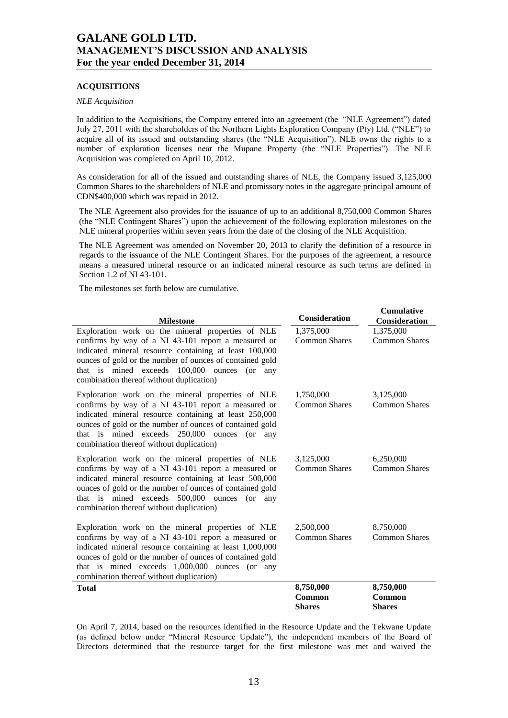## **ACQUISITIONS**

#### *NLE Acquisition*

In addition to the Acquisitions, the Company entered into an agreement (the "NLE Agreement") dated July 27, 2011 with the shareholders of the Northern Lights Exploration Company (Pty) Ltd. ("NLE") to acquire all of its issued and outstanding shares (the "NLE Acquisition"). NLE owns the rights to a number of exploration licenses near the Mupane Property (the "NLE Properties"). The NLE Acquisition was completed on April 10, 2012.

As consideration for all of the issued and outstanding shares of NLE, the Company issued 3,125,000 Common Shares to the shareholders of NLE and promissory notes in the aggregate principal amount of CDN\$400,000 which was repaid in 2012.

The NLE Agreement also provides for the issuance of up to an additional 8,750,000 Common Shares (the "NLE Contingent Shares") upon the achievement of the following exploration milestones on the NLE mineral properties within seven years from the date of the closing of the NLE Acquisition.

The NLE Agreement was amended on November 20, 2013 to clarify the definition of a resource in regards to the issuance of the NLE Contingent Shares. For the purposes of the agreement, a resource means a measured mineral resource or an indicated mineral resource as such terms are defined in Section 1.2 of NI 43-101.

The milestones set forth below are cumulative.

| <b>Milestone</b>                                                                                                                                                                                                                                                                                                               | <b>Consideration</b>              | <b>Cumulative</b><br><b>Consideration</b> |  |  |  |  |
|--------------------------------------------------------------------------------------------------------------------------------------------------------------------------------------------------------------------------------------------------------------------------------------------------------------------------------|-----------------------------------|-------------------------------------------|--|--|--|--|
| Exploration work on the mineral properties of NLE<br>confirms by way of a NI 43-101 report a measured or<br>indicated mineral resource containing at least 100,000<br>ounces of gold or the number of ounces of contained gold<br>that is mined exceeds 100,000 ounces (or any<br>combination thereof without duplication)     | 1,375,000<br><b>Common Shares</b> | 1,375,000<br><b>Common Shares</b>         |  |  |  |  |
| Exploration work on the mineral properties of NLE<br>confirms by way of a NI 43-101 report a measured or<br>indicated mineral resource containing at least 250,000<br>ounces of gold or the number of ounces of contained gold<br>that is mined exceeds 250,000 ounces (or any<br>combination thereof without duplication)     | 1,750,000<br><b>Common Shares</b> | 3,125,000<br><b>Common Shares</b>         |  |  |  |  |
| Exploration work on the mineral properties of NLE<br>confirms by way of a NI 43-101 report a measured or<br>indicated mineral resource containing at least 500,000<br>ounces of gold or the number of ounces of contained gold<br>that is mined exceeds 500,000 ounces (or<br>any<br>combination thereof without duplication)  | 3,125,000<br><b>Common Shares</b> | 6,250,000<br><b>Common Shares</b>         |  |  |  |  |
| Exploration work on the mineral properties of NLE<br>confirms by way of a NI 43-101 report a measured or<br>indicated mineral resource containing at least 1,000,000<br>ounces of gold or the number of ounces of contained gold<br>that is mined exceeds 1,000,000 ounces (or any<br>combination thereof without duplication) | 2,500,000<br><b>Common Shares</b> | 8,750,000<br><b>Common Shares</b>         |  |  |  |  |
| <b>Total</b>                                                                                                                                                                                                                                                                                                                   | 8,750,000                         | 8,750,000                                 |  |  |  |  |
|                                                                                                                                                                                                                                                                                                                                | Common<br><b>Shares</b>           | Common<br><b>Shares</b>                   |  |  |  |  |
|                                                                                                                                                                                                                                                                                                                                |                                   |                                           |  |  |  |  |

On April 7, 2014, based on the resources identified in the Resource Update and the Tekwane Update (as defined below under "Mineral Resource Update"), the independent members of the Board of Directors determined that the resource target for the first milestone was met and waived the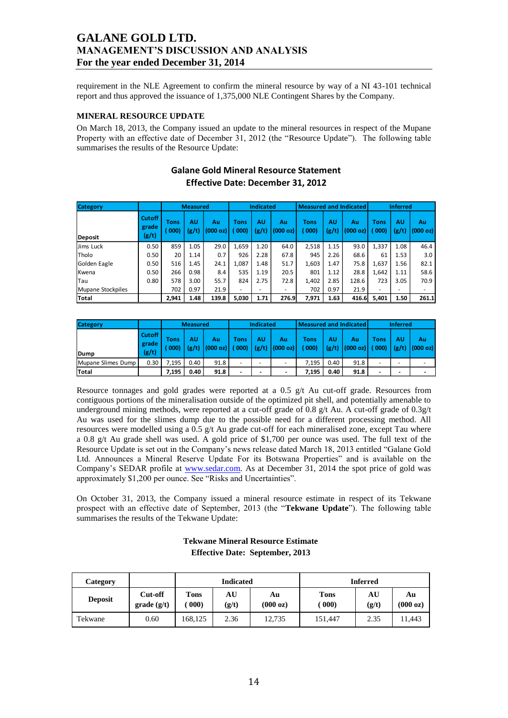requirement in the NLE Agreement to confirm the mineral resource by way of a NI 43-101 technical report and thus approved the issuance of 1,375,000 NLE Contingent Shares by the Company.

### **MINERAL RESOURCE UPDATE**

On March 18, 2013, the Company issued an update to the mineral resources in respect of the Mupane Property with an effective date of December 31, 2012 (the "Resource Update"). The following table summarises the results of the Resource Update:

| <b>Category</b>          |                                 | <b>Measured</b> |             |                | <b>Indicated</b>         |             |                |                        | <b>Measured and Indicated</b> | <b>Inferred</b> |              |             |                          |
|--------------------------|---------------------------------|-----------------|-------------|----------------|--------------------------|-------------|----------------|------------------------|-------------------------------|-----------------|--------------|-------------|--------------------------|
| <b>Deposit</b>           | <b>Cutoff</b><br>grade<br>(g/t) | Tons<br>000     | AU<br>(g/t) | Au<br>(000 oz) | <b>Tons</b><br>(000)     | AU<br>(g/t) | Au<br>(000 oz) | <b>Tons</b><br>( 000 ) | AU<br>(g/t)                   | Au<br>(000 oz)  | Tons<br>000) | AU<br>(g/t) | Au<br>(000 oz)           |
| Jims Luck                | 0.50                            | 859             | 1.05        | 29.0           | 1,659                    | 1.20        | 64.0           | 2,518                  | 1.15                          | 93.0            | 1,337        | 1.08        | 46.4                     |
| Tholo                    | 0.50                            | 20              | 1.14        | 0.7            | 926                      | 2.28        | 67.8           | 945                    | 2.26                          | 68.6            | 61           | 1.53        | 3.0                      |
| Golden Eagle             | 0.50                            | 516             | 1.45        | 24.1           | 1.087                    | 1.48        | 51.7           | 1,603                  | 1.47                          | 75.8            | 1,637        | 1.56        | 82.1                     |
| Kwena                    | 0.50                            | 266             | 0.98        | 8.4            | 535                      | 1.19        | 20.5           | 801                    | 1.12                          | 28.8            | 1.642        | 1.11        | 58.6                     |
| Tau                      | 0.80                            | 578             | 3.00        | 55.7           | 824                      | 2.75        | 72.8           | 1,402                  | 2.85                          | 128.6           | 723          | 3.05        | 70.9                     |
| <b>Mupane Stockpiles</b> |                                 | 702             | 0.97        | 21.9           | $\overline{\phantom{0}}$ |             | -              | 702                    | 0.97                          | 21.9            |              |             | $\overline{\phantom{a}}$ |
| <b>Total</b>             |                                 | 2,941           | 1.48        | 139.8          | 5,030                    | 1.71        | 276.9          | 7,971                  | 1.63                          | 416.6           | 5,401        | 1.50        | 261.1                    |

## **Galane Gold Mineral Resource Statement Effective Date: December 31, 2012**

| <b>Category</b>    |                            | <b>Measured</b>    |      |                        | <b>Indicated</b>     |             |                | Measured and Indicated l |      |                        | <b>Inferred</b> |    |                        |
|--------------------|----------------------------|--------------------|------|------------------------|----------------------|-------------|----------------|--------------------------|------|------------------------|-----------------|----|------------------------|
| Dump               | Cutoff I<br>grade<br>(g/t) | <b>Tons</b><br>000 | AU   | Αu<br>$(g/t)$ (000 oz) | <b>Tons</b><br>(000) | AU<br>(g/t) | Αu<br>(000 oz) | Tons<br>(000)            | AU   | Au<br>$(g/t)$ (000 oz) | Tons<br>(000)   | AU | Au<br>$(g/t)$ (000 oz) |
| Mupane Slimes Dump | 0.30                       | 7.195              | 0.40 | 91.8                   | -                    |             | -              | 7.195                    | 0.40 | 91.8                   |                 |    | -                      |
| <b>Total</b>       |                            | 7.195              | 0.40 | 91.8                   |                      | -           | -              | 7.195                    | 0.40 | 91.8                   | -               |    | -                      |

Resource tonnages and gold grades were reported at a 0.5 g/t Au cut-off grade. Resources from contiguous portions of the mineralisation outside of the optimized pit shell, and potentially amenable to underground mining methods, were reported at a cut-off grade of 0.8 g/t Au. A cut-off grade of 0.3g/t Au was used for the slimes dump due to the possible need for a different processing method. All resources were modelled using a 0.5 g/t Au grade cut-off for each mineralised zone, except Tau where a 0.8 g/t Au grade shell was used. A gold price of \$1,700 per ounce was used. The full text of the Resource Update is set out in the Company's news release dated March 18, 2013 entitled "Galane Gold Ltd. Announces a Mineral Reserve Update For its Botswana Properties" and is available on the Company's SEDAR profile at [www.sedar.com.](http://www.sedar.com/) As at December 31, 2014 the spot price of gold was approximately \$1,200 per ounce. See "Risks and Uncertainties".

On October 31, 2013, the Company issued a mineral resource estimate in respect of its Tekwane prospect with an effective date of September, 2013 (the "Tekwane Update"). The following table summarises the results of the Tekwane Update:

| Category       |                          |              | <b>Indicated</b> |                | <b>Inferred</b>                   |             |                |  |  |  |
|----------------|--------------------------|--------------|------------------|----------------|-----------------------------------|-------------|----------------|--|--|--|
| <b>Deposit</b> | Cut-off<br>$grade$ (g/t) | Tons<br>000) | AU<br>(g/t)      | Au<br>(000 oz) | <b>Tons</b><br>$\left(000\right)$ | AU<br>(g/t) | Au<br>(000 oz) |  |  |  |
| Tekwane        | 0.60                     | 168.125      | 2.36             | 12,735         | 151.447                           | 2.35        | 11,443         |  |  |  |

## **Tekwane Mineral Resource Estimate Effective Date: September, 2013**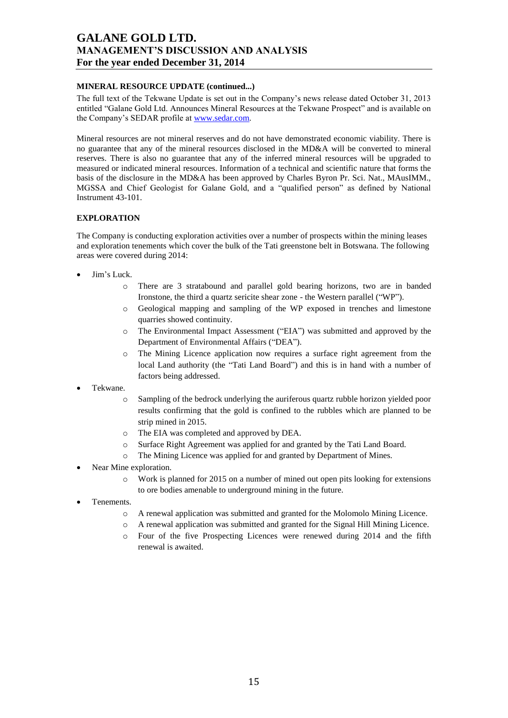## **MINERAL RESOURCE UPDATE (continued...)**

The full text of the Tekwane Update is set out in the Company's news release dated October 31, 2013 entitled "Galane Gold Ltd. Announces Mineral Resources at the Tekwane Prospect" and is available on the Company's SEDAR profile at [www.sedar.com.](http://www.sedar.com/)

Mineral resources are not mineral reserves and do not have demonstrated economic viability. There is no guarantee that any of the mineral resources disclosed in the MD&A will be converted to mineral reserves. There is also no guarantee that any of the inferred mineral resources will be upgraded to measured or indicated mineral resources. Information of a technical and scientific nature that forms the basis of the disclosure in the MD&A has been approved by Charles Byron Pr. Sci. Nat., MAusIMM., MGSSA and Chief Geologist for Galane Gold, and a "qualified person" as defined by National Instrument 43-101.

### **EXPLORATION**

The Company is conducting exploration activities over a number of prospects within the mining leases and exploration tenements which cover the bulk of the Tati greenstone belt in Botswana. The following areas were covered during 2014:

- Jim's Luck.
	- o There are 3 stratabound and parallel gold bearing horizons, two are in banded Ironstone, the third a quartz sericite shear zone - the Western parallel ("WP").
	- o Geological mapping and sampling of the WP exposed in trenches and limestone quarries showed continuity.
	- o The Environmental Impact Assessment ("EIA") was submitted and approved by the Department of Environmental Affairs ("DEA").
	- o The Mining Licence application now requires a surface right agreement from the local Land authority (the "Tati Land Board") and this is in hand with a number of factors being addressed.
- Tekwane.
	- o Sampling of the bedrock underlying the auriferous quartz rubble horizon yielded poor results confirming that the gold is confined to the rubbles which are planned to be strip mined in 2015.
	- o The EIA was completed and approved by DEA.
	- o Surface Right Agreement was applied for and granted by the Tati Land Board.
	- o The Mining Licence was applied for and granted by Department of Mines.
- Near Mine exploration.
	- o Work is planned for 2015 on a number of mined out open pits looking for extensions to ore bodies amenable to underground mining in the future.
- Tenements.
	- o A renewal application was submitted and granted for the Molomolo Mining Licence.
	- o A renewal application was submitted and granted for the Signal Hill Mining Licence.
	- o Four of the five Prospecting Licences were renewed during 2014 and the fifth renewal is awaited.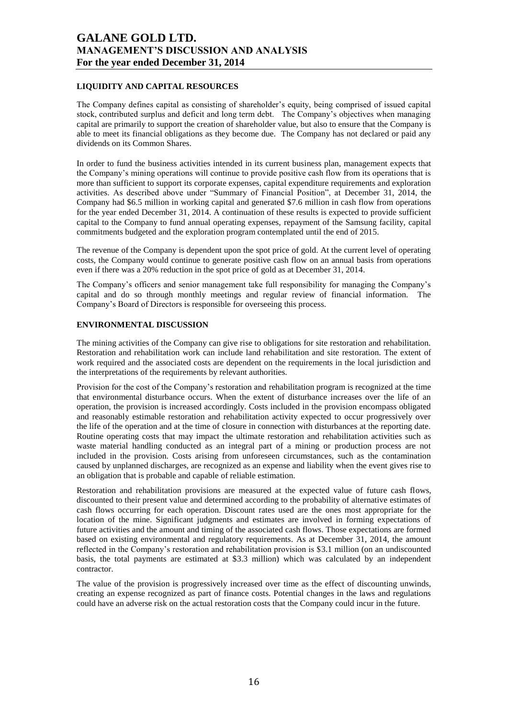## **LIQUIDITY AND CAPITAL RESOURCES**

The Company defines capital as consisting of shareholder's equity, being comprised of issued capital stock, contributed surplus and deficit and long term debt. The Company's objectives when managing capital are primarily to support the creation of shareholder value, but also to ensure that the Company is able to meet its financial obligations as they become due. The Company has not declared or paid any dividends on its Common Shares.

In order to fund the business activities intended in its current business plan, management expects that the Company's mining operations will continue to provide positive cash flow from its operations that is more than sufficient to support its corporate expenses, capital expenditure requirements and exploration activities. As described above under "Summary of Financial Position", at December 31, 2014, the Company had \$6.5 million in working capital and generated \$7.6 million in cash flow from operations for the year ended December 31, 2014. A continuation of these results is expected to provide sufficient capital to the Company to fund annual operating expenses, repayment of the Samsung facility, capital commitments budgeted and the exploration program contemplated until the end of 2015.

The revenue of the Company is dependent upon the spot price of gold. At the current level of operating costs, the Company would continue to generate positive cash flow on an annual basis from operations even if there was a 20% reduction in the spot price of gold as at December 31, 2014.

The Company's officers and senior management take full responsibility for managing the Company's capital and do so through monthly meetings and regular review of financial information. The Company's Board of Directors is responsible for overseeing this process.

### **ENVIRONMENTAL DISCUSSION**

The mining activities of the Company can give rise to obligations for site restoration and rehabilitation. Restoration and rehabilitation work can include land rehabilitation and site restoration. The extent of work required and the associated costs are dependent on the requirements in the local jurisdiction and the interpretations of the requirements by relevant authorities.

Provision for the cost of the Company's restoration and rehabilitation program is recognized at the time that environmental disturbance occurs. When the extent of disturbance increases over the life of an operation, the provision is increased accordingly. Costs included in the provision encompass obligated and reasonably estimable restoration and rehabilitation activity expected to occur progressively over the life of the operation and at the time of closure in connection with disturbances at the reporting date. Routine operating costs that may impact the ultimate restoration and rehabilitation activities such as waste material handling conducted as an integral part of a mining or production process are not included in the provision. Costs arising from unforeseen circumstances, such as the contamination caused by unplanned discharges, are recognized as an expense and liability when the event gives rise to an obligation that is probable and capable of reliable estimation.

Restoration and rehabilitation provisions are measured at the expected value of future cash flows, discounted to their present value and determined according to the probability of alternative estimates of cash flows occurring for each operation. Discount rates used are the ones most appropriate for the location of the mine. Significant judgments and estimates are involved in forming expectations of future activities and the amount and timing of the associated cash flows. Those expectations are formed based on existing environmental and regulatory requirements. As at December 31, 2014, the amount reflected in the Company's restoration and rehabilitation provision is \$3.1 million (on an undiscounted basis, the total payments are estimated at \$3.3 million) which was calculated by an independent contractor.

The value of the provision is progressively increased over time as the effect of discounting unwinds, creating an expense recognized as part of finance costs. Potential changes in the laws and regulations could have an adverse risk on the actual restoration costs that the Company could incur in the future.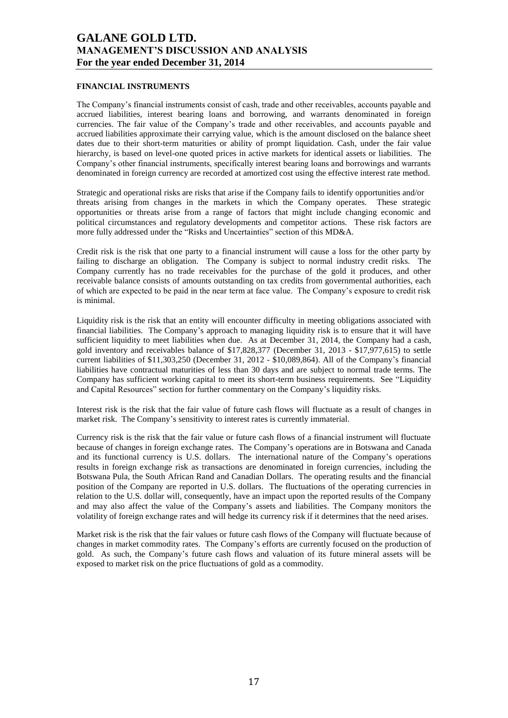### **FINANCIAL INSTRUMENTS**

The Company's financial instruments consist of cash, trade and other receivables, accounts payable and accrued liabilities, interest bearing loans and borrowing, and warrants denominated in foreign currencies. The fair value of the Company's trade and other receivables, and accounts payable and accrued liabilities approximate their carrying value, which is the amount disclosed on the balance sheet dates due to their short-term maturities or ability of prompt liquidation. Cash, under the fair value hierarchy, is based on level-one quoted prices in active markets for identical assets or liabilities. The Company's other financial instruments, specifically interest bearing loans and borrowings and warrants denominated in foreign currency are recorded at amortized cost using the effective interest rate method.

Strategic and operational risks are risks that arise if the Company fails to identify opportunities and/or threats arising from changes in the markets in which the Company operates. These strategic opportunities or threats arise from a range of factors that might include changing economic and political circumstances and regulatory developments and competitor actions. These risk factors are more fully addressed under the "Risks and Uncertainties" section of this  $MD&A$ .

Credit risk is the risk that one party to a financial instrument will cause a loss for the other party by failing to discharge an obligation. The Company is subject to normal industry credit risks. The Company currently has no trade receivables for the purchase of the gold it produces, and other receivable balance consists of amounts outstanding on tax credits from governmental authorities, each of which are expected to be paid in the near term at face value. The Company's exposure to credit risk is minimal.

Liquidity risk is the risk that an entity will encounter difficulty in meeting obligations associated with financial liabilities. The Company's approach to managing liquidity risk is to ensure that it will have sufficient liquidity to meet liabilities when due. As at December 31, 2014, the Company had a cash, gold inventory and receivables balance of \$17,828,377 (December 31, 2013 - \$17,977,615) to settle current liabilities of \$11,303,250 (December 31, 2012 - \$10,089,864). All of the Company's financial liabilities have contractual maturities of less than 30 days and are subject to normal trade terms. The Company has sufficient working capital to meet its short-term business requirements. See "Liquidity" and Capital Resources" section for further commentary on the Company's liquidity risks.

Interest risk is the risk that the fair value of future cash flows will fluctuate as a result of changes in market risk. The Company's sensitivity to interest rates is currently immaterial.

Currency risk is the risk that the fair value or future cash flows of a financial instrument will fluctuate because of changes in foreign exchange rates. The Company's operations are in Botswana and Canada and its functional currency is U.S. dollars. The international nature of the Company's operations results in foreign exchange risk as transactions are denominated in foreign currencies, including the Botswana Pula, the South African Rand and Canadian Dollars. The operating results and the financial position of the Company are reported in U.S. dollars. The fluctuations of the operating currencies in relation to the U.S. dollar will, consequently, have an impact upon the reported results of the Company and may also affect the value of the Company's assets and liabilities. The Company monitors the volatility of foreign exchange rates and will hedge its currency risk if it determines that the need arises.

Market risk is the risk that the fair values or future cash flows of the Company will fluctuate because of changes in market commodity rates. The Company's efforts are currently focused on the production of gold. As such, the Company's future cash flows and valuation of its future mineral assets will be exposed to market risk on the price fluctuations of gold as a commodity.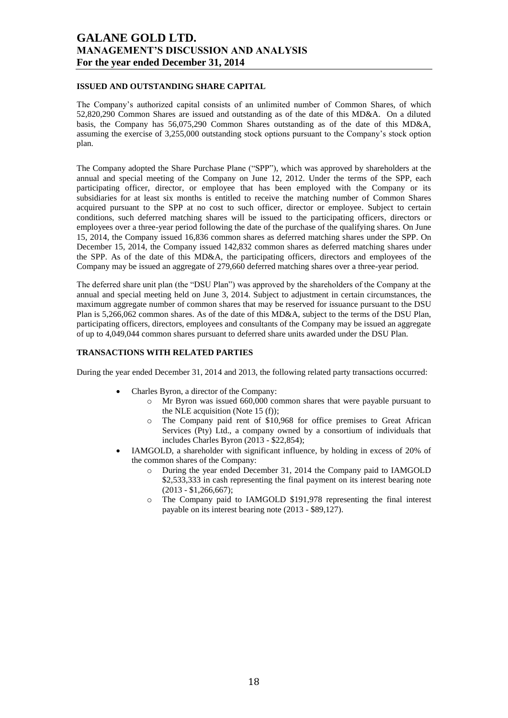### **ISSUED AND OUTSTANDING SHARE CAPITAL**

The Company's authorized capital consists of an unlimited number of Common Shares, of which 52,820,290 Common Shares are issued and outstanding as of the date of this MD&A. On a diluted basis, the Company has 56,075,290 Common Shares outstanding as of the date of this MD&A, assuming the exercise of 3,255,000 outstanding stock options pursuant to the Company's stock option plan.

The Company adopted the Share Purchase Plane ("SPP"), which was approved by shareholders at the annual and special meeting of the Company on June 12, 2012. Under the terms of the SPP, each participating officer, director, or employee that has been employed with the Company or its subsidiaries for at least six months is entitled to receive the matching number of Common Shares acquired pursuant to the SPP at no cost to such officer, director or employee. Subject to certain conditions, such deferred matching shares will be issued to the participating officers, directors or employees over a three-year period following the date of the purchase of the qualifying shares. On June 15, 2014, the Company issued 16,836 common shares as deferred matching shares under the SPP. On December 15, 2014, the Company issued 142,832 common shares as deferred matching shares under the SPP. As of the date of this MD&A, the participating officers, directors and employees of the Company may be issued an aggregate of 279,660 deferred matching shares over a three-year period.

The deferred share unit plan (the "DSU Plan") was approved by the shareholders of the Company at the annual and special meeting held on June 3, 2014. Subject to adjustment in certain circumstances, the maximum aggregate number of common shares that may be reserved for issuance pursuant to the DSU Plan is 5,266,062 common shares. As of the date of this MD&A, subject to the terms of the DSU Plan, participating officers, directors, employees and consultants of the Company may be issued an aggregate of up to 4,049,044 common shares pursuant to deferred share units awarded under the DSU Plan.

## **TRANSACTIONS WITH RELATED PARTIES**

During the year ended December 31, 2014 and 2013, the following related party transactions occurred:

- Charles Byron, a director of the Company:
	- o Mr Byron was issued 660,000 common shares that were payable pursuant to the NLE acquisition (Note 15 (f));
	- o The Company paid rent of \$10,968 for office premises to Great African Services (Pty) Ltd., a company owned by a consortium of individuals that includes Charles Byron (2013 - \$22,854);
- IAMGOLD, a shareholder with significant influence, by holding in excess of 20% of the common shares of the Company:
	- o During the year ended December 31, 2014 the Company paid to IAMGOLD \$2,533,333 in cash representing the final payment on its interest bearing note  $(2013 - $1,266,667);$
	- o The Company paid to IAMGOLD \$191,978 representing the final interest payable on its interest bearing note (2013 - \$89,127).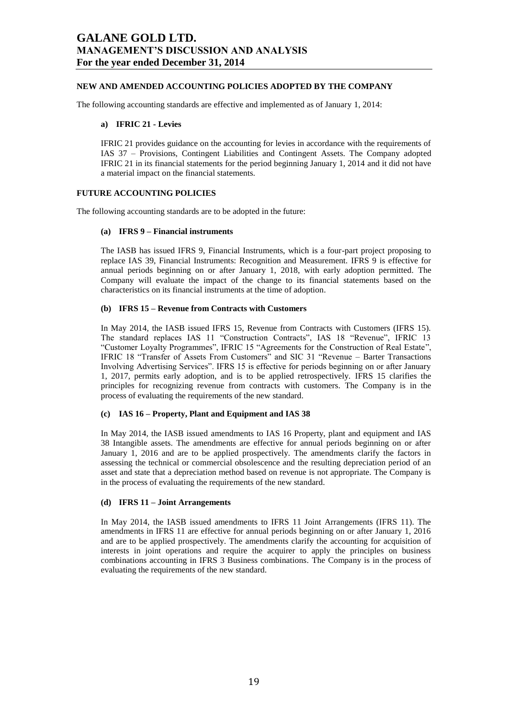### **NEW AND AMENDED ACCOUNTING POLICIES ADOPTED BY THE COMPANY**

The following accounting standards are effective and implemented as of January 1, 2014:

#### **a) IFRIC 21 - Levies**

IFRIC 21 provides guidance on the accounting for levies in accordance with the requirements of IAS 37 – Provisions, Contingent Liabilities and Contingent Assets. The Company adopted IFRIC 21 in its financial statements for the period beginning January 1, 2014 and it did not have a material impact on the financial statements.

#### **FUTURE ACCOUNTING POLICIES**

The following accounting standards are to be adopted in the future:

#### **(a) IFRS 9 – Financial instruments**

The IASB has issued IFRS 9, Financial Instruments, which is a four-part project proposing to replace IAS 39, Financial Instruments: Recognition and Measurement. IFRS 9 is effective for annual periods beginning on or after January 1, 2018, with early adoption permitted. The Company will evaluate the impact of the change to its financial statements based on the characteristics on its financial instruments at the time of adoption.

#### **(b) IFRS 15 – Revenue from Contracts with Customers**

In May 2014, the IASB issued IFRS 15, Revenue from Contracts with Customers (IFRS 15). The standard replaces IAS 11 "Construction Contracts", IAS 18 "Revenue", IFRIC 13 "Customer Loyalty Programmes", IFRIC 15 "Agreements for the Construction of Real Estate", IFRIC 18 "Transfer of Assets From Customers" and SIC 31 "Revenue – Barter Transactions Involving Advertising Services". IFRS 15 is effective for periods beginning on or after January 1, 2017, permits early adoption, and is to be applied retrospectively. IFRS 15 clarifies the principles for recognizing revenue from contracts with customers. The Company is in the process of evaluating the requirements of the new standard.

### **(c) IAS 16 – Property, Plant and Equipment and IAS 38**

In May 2014, the IASB issued amendments to IAS 16 Property, plant and equipment and IAS 38 Intangible assets. The amendments are effective for annual periods beginning on or after January 1, 2016 and are to be applied prospectively. The amendments clarify the factors in assessing the technical or commercial obsolescence and the resulting depreciation period of an asset and state that a depreciation method based on revenue is not appropriate. The Company is in the process of evaluating the requirements of the new standard.

#### **(d) IFRS 11 – Joint Arrangements**

In May 2014, the IASB issued amendments to IFRS 11 Joint Arrangements (IFRS 11). The amendments in IFRS 11 are effective for annual periods beginning on or after January 1, 2016 and are to be applied prospectively. The amendments clarify the accounting for acquisition of interests in joint operations and require the acquirer to apply the principles on business combinations accounting in IFRS 3 Business combinations. The Company is in the process of evaluating the requirements of the new standard.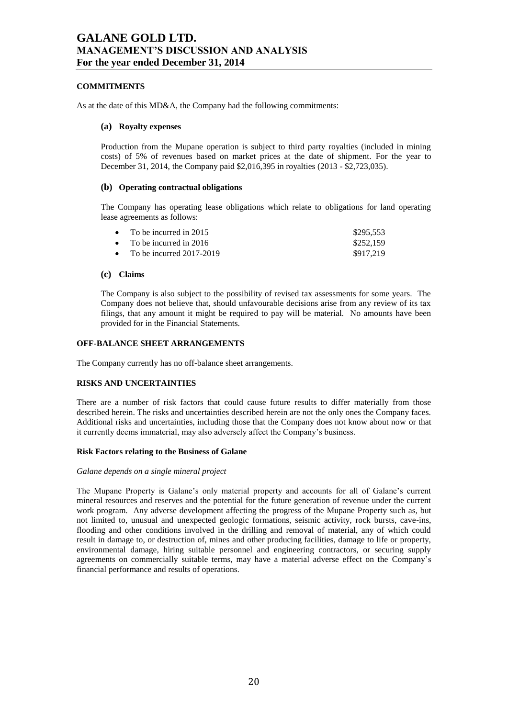### **COMMITMENTS**

As at the date of this MD&A, the Company had the following commitments:

### **(a) Royalty expenses**

Production from the Mupane operation is subject to third party royalties (included in mining costs) of 5% of revenues based on market prices at the date of shipment. For the year to December 31, 2014, the Company paid \$2,016,395 in royalties (2013 - \$2,723,035).

### **(b) Operating contractual obligations**

The Company has operating lease obligations which relate to obligations for land operating lease agreements as follows:

| • To be incurred in 2015     | \$295.553 |
|------------------------------|-----------|
| • To be incurred in 2016     | \$252.159 |
| • To be incurred $2017-2019$ | \$917.219 |

### **(c) Claims**

The Company is also subject to the possibility of revised tax assessments for some years. The Company does not believe that, should unfavourable decisions arise from any review of its tax filings, that any amount it might be required to pay will be material. No amounts have been provided for in the Financial Statements.

## **OFF-BALANCE SHEET ARRANGEMENTS**

The Company currently has no off-balance sheet arrangements.

### **RISKS AND UNCERTAINTIES**

There are a number of risk factors that could cause future results to differ materially from those described herein. The risks and uncertainties described herein are not the only ones the Company faces. Additional risks and uncertainties, including those that the Company does not know about now or that it currently deems immaterial, may also adversely affect the Company's business.

### **Risk Factors relating to the Business of Galane**

### *Galane depends on a single mineral project*

The Mupane Property is Galane's only material property and accounts for all of Galane's current mineral resources and reserves and the potential for the future generation of revenue under the current work program. Any adverse development affecting the progress of the Mupane Property such as, but not limited to, unusual and unexpected geologic formations, seismic activity, rock bursts, cave-ins, flooding and other conditions involved in the drilling and removal of material, any of which could result in damage to, or destruction of, mines and other producing facilities, damage to life or property, environmental damage, hiring suitable personnel and engineering contractors, or securing supply agreements on commercially suitable terms, may have a material adverse effect on the Company's financial performance and results of operations.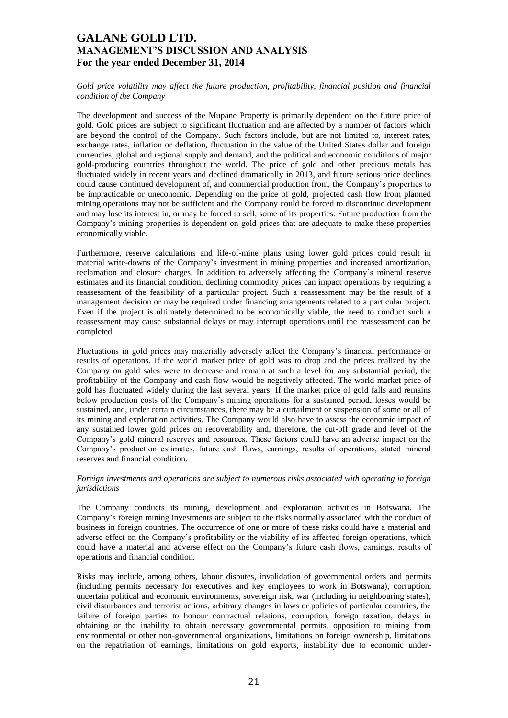*Gold price volatility may affect the future production, profitability, financial position and financial condition of the Company*

The development and success of the Mupane Property is primarily dependent on the future price of gold. Gold prices are subject to significant fluctuation and are affected by a number of factors which are beyond the control of the Company. Such factors include, but are not limited to, interest rates, exchange rates, inflation or deflation, fluctuation in the value of the United States dollar and foreign currencies, global and regional supply and demand, and the political and economic conditions of major gold-producing countries throughout the world. The price of gold and other precious metals has fluctuated widely in recent years and declined dramatically in 2013, and future serious price declines could cause continued development of, and commercial production from, the Company's properties to be impracticable or uneconomic. Depending on the price of gold, projected cash flow from planned mining operations may not be sufficient and the Company could be forced to discontinue development and may lose its interest in, or may be forced to sell, some of its properties. Future production from the Company's mining properties is dependent on gold prices that are adequate to make these properties economically viable.

Furthermore, reserve calculations and life-of-mine plans using lower gold prices could result in material write-downs of the Company's investment in mining properties and increased amortization, reclamation and closure charges. In addition to adversely affecting the Company's mineral reserve estimates and its financial condition, declining commodity prices can impact operations by requiring a reassessment of the feasibility of a particular project. Such a reassessment may be the result of a management decision or may be required under financing arrangements related to a particular project. Even if the project is ultimately determined to be economically viable, the need to conduct such a reassessment may cause substantial delays or may interrupt operations until the reassessment can be completed.

Fluctuations in gold prices may materially adversely affect the Company's financial performance or results of operations. If the world market price of gold was to drop and the prices realized by the Company on gold sales were to decrease and remain at such a level for any substantial period, the profitability of the Company and cash flow would be negatively affected. The world market price of gold has fluctuated widely during the last several years. If the market price of gold falls and remains below production costs of the Company's mining operations for a sustained period, losses would be sustained, and, under certain circumstances, there may be a curtailment or suspension of some or all of its mining and exploration activities. The Company would also have to assess the economic impact of any sustained lower gold prices on recoverability and, therefore, the cut-off grade and level of the Company's gold mineral reserves and resources. These factors could have an adverse impact on the Company's production estimates, future cash flows, earnings, results of operations, stated mineral reserves and financial condition.

#### *Foreign investments and operations are subject to numerous risks associated with operating in foreign jurisdictions*

The Company conducts its mining, development and exploration activities in Botswana. The Company's foreign mining investments are subject to the risks normally associated with the conduct of business in foreign countries. The occurrence of one or more of these risks could have a material and adverse effect on the Company's profitability or the viability of its affected foreign operations, which could have a material and adverse effect on the Company's future cash flows, earnings, results of operations and financial condition.

Risks may include, among others, labour disputes, invalidation of governmental orders and permits (including permits necessary for executives and key employees to work in Botswana), corruption, uncertain political and economic environments, sovereign risk, war (including in neighbouring states), civil disturbances and terrorist actions, arbitrary changes in laws or policies of particular countries, the failure of foreign parties to honour contractual relations, corruption, foreign taxation, delays in obtaining or the inability to obtain necessary governmental permits, opposition to mining from environmental or other non-governmental organizations, limitations on foreign ownership, limitations on the repatriation of earnings, limitations on gold exports, instability due to economic under-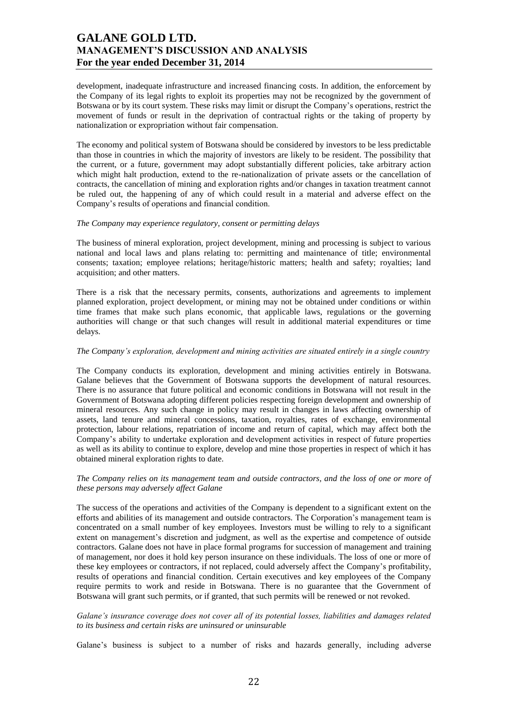development, inadequate infrastructure and increased financing costs. In addition, the enforcement by the Company of its legal rights to exploit its properties may not be recognized by the government of Botswana or by its court system. These risks may limit or disrupt the Company's operations, restrict the movement of funds or result in the deprivation of contractual rights or the taking of property by nationalization or expropriation without fair compensation.

The economy and political system of Botswana should be considered by investors to be less predictable than those in countries in which the majority of investors are likely to be resident. The possibility that the current, or a future, government may adopt substantially different policies, take arbitrary action which might halt production, extend to the re-nationalization of private assets or the cancellation of contracts, the cancellation of mining and exploration rights and/or changes in taxation treatment cannot be ruled out, the happening of any of which could result in a material and adverse effect on the Company's results of operations and financial condition.

#### *The Company may experience regulatory, consent or permitting delays*

The business of mineral exploration, project development, mining and processing is subject to various national and local laws and plans relating to: permitting and maintenance of title; environmental consents; taxation; employee relations; heritage/historic matters; health and safety; royalties; land acquisition; and other matters.

There is a risk that the necessary permits, consents, authorizations and agreements to implement planned exploration, project development, or mining may not be obtained under conditions or within time frames that make such plans economic, that applicable laws, regulations or the governing authorities will change or that such changes will result in additional material expenditures or time delays.

#### *The Company's exploration, development and mining activities are situated entirely in a single country*

The Company conducts its exploration, development and mining activities entirely in Botswana. Galane believes that the Government of Botswana supports the development of natural resources. There is no assurance that future political and economic conditions in Botswana will not result in the Government of Botswana adopting different policies respecting foreign development and ownership of mineral resources. Any such change in policy may result in changes in laws affecting ownership of assets, land tenure and mineral concessions, taxation, royalties, rates of exchange, environmental protection, labour relations, repatriation of income and return of capital, which may affect both the Company's ability to undertake exploration and development activities in respect of future properties as well as its ability to continue to explore, develop and mine those properties in respect of which it has obtained mineral exploration rights to date.

#### *The Company relies on its management team and outside contractors, and the loss of one or more of these persons may adversely affect Galane*

The success of the operations and activities of the Company is dependent to a significant extent on the efforts and abilities of its management and outside contractors. The Corporation's management team is concentrated on a small number of key employees. Investors must be willing to rely to a significant extent on management's discretion and judgment, as well as the expertise and competence of outside contractors. Galane does not have in place formal programs for succession of management and training of management, nor does it hold key person insurance on these individuals. The loss of one or more of these key employees or contractors, if not replaced, could adversely affect the Company's profitability, results of operations and financial condition. Certain executives and key employees of the Company require permits to work and reside in Botswana. There is no guarantee that the Government of Botswana will grant such permits, or if granted, that such permits will be renewed or not revoked.

### *Galane's insurance coverage does not cover all of its potential losses, liabilities and damages related to its business and certain risks are uninsured or uninsurable*

Galane's business is subject to a number of risks and hazards generally, including adverse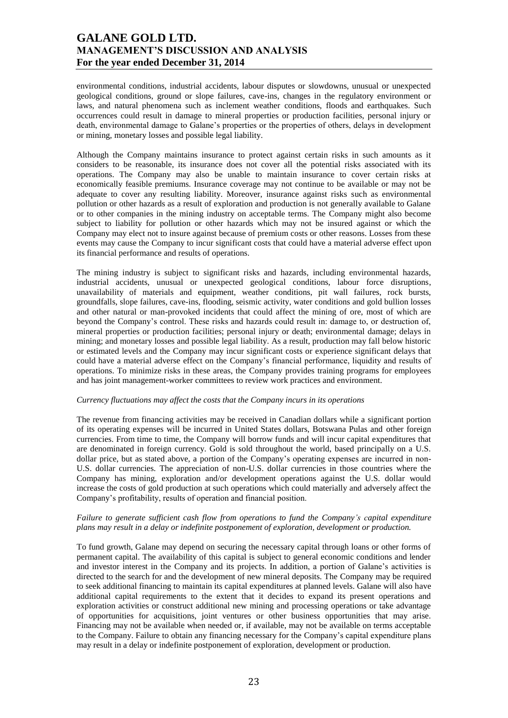environmental conditions, industrial accidents, labour disputes or slowdowns, unusual or unexpected geological conditions, ground or slope failures, cave-ins, changes in the regulatory environment or laws, and natural phenomena such as inclement weather conditions, floods and earthquakes. Such occurrences could result in damage to mineral properties or production facilities, personal injury or death, environmental damage to Galane's properties or the properties of others, delays in development or mining, monetary losses and possible legal liability.

Although the Company maintains insurance to protect against certain risks in such amounts as it considers to be reasonable, its insurance does not cover all the potential risks associated with its operations. The Company may also be unable to maintain insurance to cover certain risks at economically feasible premiums. Insurance coverage may not continue to be available or may not be adequate to cover any resulting liability. Moreover, insurance against risks such as environmental pollution or other hazards as a result of exploration and production is not generally available to Galane or to other companies in the mining industry on acceptable terms. The Company might also become subject to liability for pollution or other hazards which may not be insured against or which the Company may elect not to insure against because of premium costs or other reasons. Losses from these events may cause the Company to incur significant costs that could have a material adverse effect upon its financial performance and results of operations.

The mining industry is subject to significant risks and hazards, including environmental hazards, industrial accidents, unusual or unexpected geological conditions, labour force disruptions, unavailability of materials and equipment, weather conditions, pit wall failures, rock bursts, groundfalls, slope failures, cave-ins, flooding, seismic activity, water conditions and gold bullion losses and other natural or man-provoked incidents that could affect the mining of ore, most of which are beyond the Company's control. These risks and hazards could result in: damage to, or destruction of, mineral properties or production facilities; personal injury or death; environmental damage; delays in mining; and monetary losses and possible legal liability. As a result, production may fall below historic or estimated levels and the Company may incur significant costs or experience significant delays that could have a material adverse effect on the Company's financial performance, liquidity and results of operations. To minimize risks in these areas, the Company provides training programs for employees and has joint management-worker committees to review work practices and environment.

#### *Currency fluctuations may affect the costs that the Company incurs in its operations*

The revenue from financing activities may be received in Canadian dollars while a significant portion of its operating expenses will be incurred in United States dollars, Botswana Pulas and other foreign currencies. From time to time, the Company will borrow funds and will incur capital expenditures that are denominated in foreign currency. Gold is sold throughout the world, based principally on a U.S. dollar price, but as stated above, a portion of the Company's operating expenses are incurred in non-U.S. dollar currencies. The appreciation of non-U.S. dollar currencies in those countries where the Company has mining, exploration and/or development operations against the U.S. dollar would increase the costs of gold production at such operations which could materially and adversely affect the Company's profitability, results of operation and financial position.

### *Failure to generate sufficient cash flow from operations to fund the Company's capital expenditure plans may result in a delay or indefinite postponement of exploration, development or production.*

To fund growth, Galane may depend on securing the necessary capital through loans or other forms of permanent capital. The availability of this capital is subject to general economic conditions and lender and investor interest in the Company and its projects. In addition, a portion of Galane's activities is directed to the search for and the development of new mineral deposits. The Company may be required to seek additional financing to maintain its capital expenditures at planned levels. Galane will also have additional capital requirements to the extent that it decides to expand its present operations and exploration activities or construct additional new mining and processing operations or take advantage of opportunities for acquisitions, joint ventures or other business opportunities that may arise. Financing may not be available when needed or, if available, may not be available on terms acceptable to the Company. Failure to obtain any financing necessary for the Company's capital expenditure plans may result in a delay or indefinite postponement of exploration, development or production.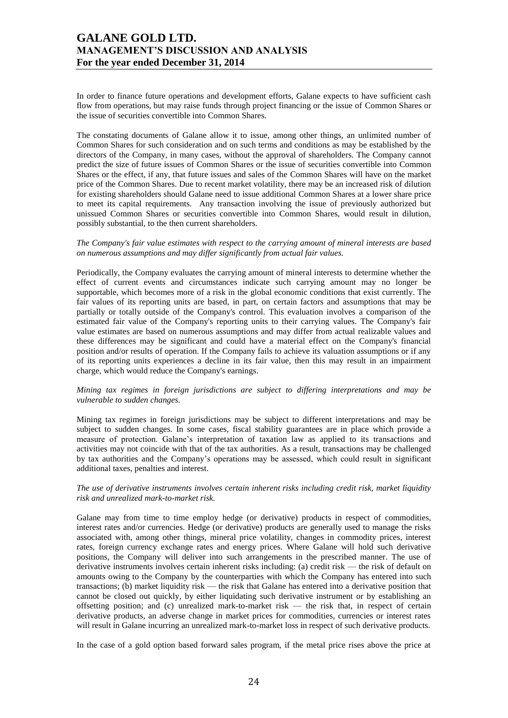In order to finance future operations and development efforts, Galane expects to have sufficient cash flow from operations, but may raise funds through project financing or the issue of Common Shares or the issue of securities convertible into Common Shares.

The constating documents of Galane allow it to issue, among other things, an unlimited number of Common Shares for such consideration and on such terms and conditions as may be established by the directors of the Company, in many cases, without the approval of shareholders. The Company cannot predict the size of future issues of Common Shares or the issue of securities convertible into Common Shares or the effect, if any, that future issues and sales of the Common Shares will have on the market price of the Common Shares. Due to recent market volatility, there may be an increased risk of dilution for existing shareholders should Galane need to issue additional Common Shares at a lower share price to meet its capital requirements. Any transaction involving the issue of previously authorized but unissued Common Shares or securities convertible into Common Shares, would result in dilution, possibly substantial, to the then current shareholders.

#### *The Company's fair value estimates with respect to the carrying amount of mineral interests are based on numerous assumptions and may differ significantly from actual fair values.*

Periodically, the Company evaluates the carrying amount of mineral interests to determine whether the effect of current events and circumstances indicate such carrying amount may no longer be supportable, which becomes more of a risk in the global economic conditions that exist currently. The fair values of its reporting units are based, in part, on certain factors and assumptions that may be partially or totally outside of the Company's control. This evaluation involves a comparison of the estimated fair value of the Company's reporting units to their carrying values. The Company's fair value estimates are based on numerous assumptions and may differ from actual realizable values and these differences may be significant and could have a material effect on the Company's financial position and/or results of operation. If the Company fails to achieve its valuation assumptions or if any of its reporting units experiences a decline in its fair value, then this may result in an impairment charge, which would reduce the Company's earnings.

#### *Mining tax regimes in foreign jurisdictions are subject to differing interpretations and may be vulnerable to sudden changes.*

Mining tax regimes in foreign jurisdictions may be subject to different interpretations and may be subject to sudden changes. In some cases, fiscal stability guarantees are in place which provide a measure of protection. Galane's interpretation of taxation law as applied to its transactions and activities may not coincide with that of the tax authorities. As a result, transactions may be challenged by tax authorities and the Company's operations may be assessed, which could result in significant additional taxes, penalties and interest.

#### *The use of derivative instruments involves certain inherent risks including credit risk, market liquidity risk and unrealized mark-to-market risk.*

Galane may from time to time employ hedge (or derivative) products in respect of commodities, interest rates and/or currencies. Hedge (or derivative) products are generally used to manage the risks associated with, among other things, mineral price volatility, changes in commodity prices, interest rates, foreign currency exchange rates and energy prices. Where Galane will hold such derivative positions, the Company will deliver into such arrangements in the prescribed manner. The use of derivative instruments involves certain inherent risks including: (a) credit risk — the risk of default on amounts owing to the Company by the counterparties with which the Company has entered into such transactions; (b) market liquidity risk — the risk that Galane has entered into a derivative position that cannot be closed out quickly, by either liquidating such derivative instrument or by establishing an offsetting position; and (c) unrealized mark-to-market risk — the risk that, in respect of certain derivative products, an adverse change in market prices for commodities, currencies or interest rates will result in Galane incurring an unrealized mark-to-market loss in respect of such derivative products.

In the case of a gold option based forward sales program, if the metal price rises above the price at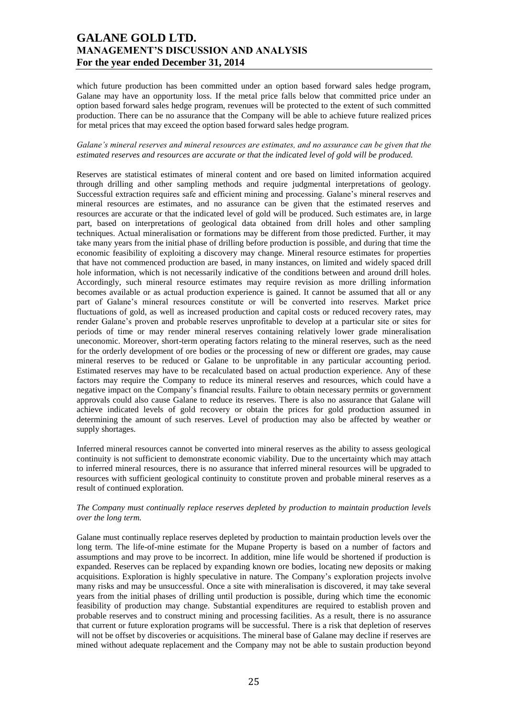which future production has been committed under an option based forward sales hedge program, Galane may have an opportunity loss. If the metal price falls below that committed price under an option based forward sales hedge program, revenues will be protected to the extent of such committed production. There can be no assurance that the Company will be able to achieve future realized prices for metal prices that may exceed the option based forward sales hedge program.

### *Galane's mineral reserves and mineral resources are estimates, and no assurance can be given that the estimated reserves and resources are accurate or that the indicated level of gold will be produced.*

Reserves are statistical estimates of mineral content and ore based on limited information acquired through drilling and other sampling methods and require judgmental interpretations of geology. Successful extraction requires safe and efficient mining and processing. Galane's mineral reserves and mineral resources are estimates, and no assurance can be given that the estimated reserves and resources are accurate or that the indicated level of gold will be produced. Such estimates are, in large part, based on interpretations of geological data obtained from drill holes and other sampling techniques. Actual mineralisation or formations may be different from those predicted. Further, it may take many years from the initial phase of drilling before production is possible, and during that time the economic feasibility of exploiting a discovery may change. Mineral resource estimates for properties that have not commenced production are based, in many instances, on limited and widely spaced drill hole information, which is not necessarily indicative of the conditions between and around drill holes. Accordingly, such mineral resource estimates may require revision as more drilling information becomes available or as actual production experience is gained. It cannot be assumed that all or any part of Galane's mineral resources constitute or will be converted into reserves. Market price fluctuations of gold, as well as increased production and capital costs or reduced recovery rates, may render Galane's proven and probable reserves unprofitable to develop at a particular site or sites for periods of time or may render mineral reserves containing relatively lower grade mineralisation uneconomic. Moreover, short-term operating factors relating to the mineral reserves, such as the need for the orderly development of ore bodies or the processing of new or different ore grades, may cause mineral reserves to be reduced or Galane to be unprofitable in any particular accounting period. Estimated reserves may have to be recalculated based on actual production experience. Any of these factors may require the Company to reduce its mineral reserves and resources, which could have a negative impact on the Company's financial results. Failure to obtain necessary permits or government approvals could also cause Galane to reduce its reserves. There is also no assurance that Galane will achieve indicated levels of gold recovery or obtain the prices for gold production assumed in determining the amount of such reserves. Level of production may also be affected by weather or supply shortages.

Inferred mineral resources cannot be converted into mineral reserves as the ability to assess geological continuity is not sufficient to demonstrate economic viability. Due to the uncertainty which may attach to inferred mineral resources, there is no assurance that inferred mineral resources will be upgraded to resources with sufficient geological continuity to constitute proven and probable mineral reserves as a result of continued exploration.

### *The Company must continually replace reserves depleted by production to maintain production levels over the long term.*

Galane must continually replace reserves depleted by production to maintain production levels over the long term. The life-of-mine estimate for the Mupane Property is based on a number of factors and assumptions and may prove to be incorrect. In addition, mine life would be shortened if production is expanded. Reserves can be replaced by expanding known ore bodies, locating new deposits or making acquisitions. Exploration is highly speculative in nature. The Company's exploration projects involve many risks and may be unsuccessful. Once a site with mineralisation is discovered, it may take several years from the initial phases of drilling until production is possible, during which time the economic feasibility of production may change. Substantial expenditures are required to establish proven and probable reserves and to construct mining and processing facilities. As a result, there is no assurance that current or future exploration programs will be successful. There is a risk that depletion of reserves will not be offset by discoveries or acquisitions. The mineral base of Galane may decline if reserves are mined without adequate replacement and the Company may not be able to sustain production beyond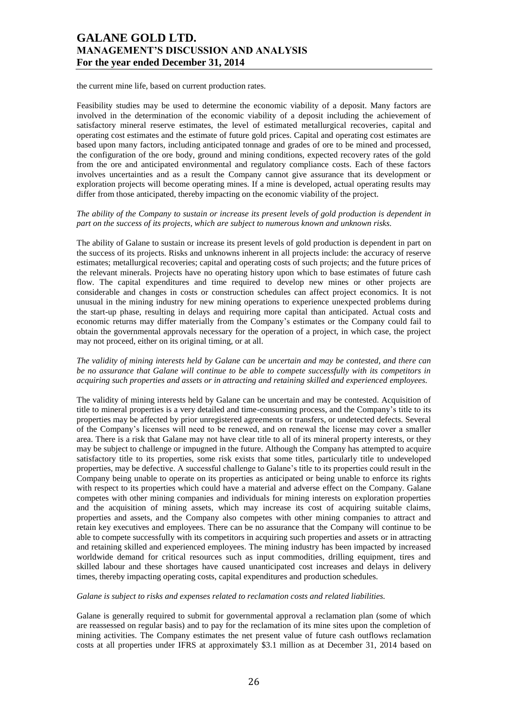the current mine life, based on current production rates.

Feasibility studies may be used to determine the economic viability of a deposit. Many factors are involved in the determination of the economic viability of a deposit including the achievement of satisfactory mineral reserve estimates, the level of estimated metallurgical recoveries, capital and operating cost estimates and the estimate of future gold prices. Capital and operating cost estimates are based upon many factors, including anticipated tonnage and grades of ore to be mined and processed, the configuration of the ore body, ground and mining conditions, expected recovery rates of the gold from the ore and anticipated environmental and regulatory compliance costs. Each of these factors involves uncertainties and as a result the Company cannot give assurance that its development or exploration projects will become operating mines. If a mine is developed, actual operating results may differ from those anticipated, thereby impacting on the economic viability of the project.

#### *The ability of the Company to sustain or increase its present levels of gold production is dependent in part on the success of its projects, which are subject to numerous known and unknown risks.*

The ability of Galane to sustain or increase its present levels of gold production is dependent in part on the success of its projects. Risks and unknowns inherent in all projects include: the accuracy of reserve estimates; metallurgical recoveries; capital and operating costs of such projects; and the future prices of the relevant minerals. Projects have no operating history upon which to base estimates of future cash flow. The capital expenditures and time required to develop new mines or other projects are considerable and changes in costs or construction schedules can affect project economics. It is not unusual in the mining industry for new mining operations to experience unexpected problems during the start-up phase, resulting in delays and requiring more capital than anticipated. Actual costs and economic returns may differ materially from the Company's estimates or the Company could fail to obtain the governmental approvals necessary for the operation of a project, in which case, the project may not proceed, either on its original timing, or at all.

#### *The validity of mining interests held by Galane can be uncertain and may be contested, and there can be no assurance that Galane will continue to be able to compete successfully with its competitors in acquiring such properties and assets or in attracting and retaining skilled and experienced employees.*

The validity of mining interests held by Galane can be uncertain and may be contested. Acquisition of title to mineral properties is a very detailed and time-consuming process, and the Company's title to its properties may be affected by prior unregistered agreements or transfers, or undetected defects. Several of the Company's licenses will need to be renewed, and on renewal the license may cover a smaller area. There is a risk that Galane may not have clear title to all of its mineral property interests, or they may be subject to challenge or impugned in the future. Although the Company has attempted to acquire satisfactory title to its properties, some risk exists that some titles, particularly title to undeveloped properties, may be defective. A successful challenge to Galane's title to its properties could result in the Company being unable to operate on its properties as anticipated or being unable to enforce its rights with respect to its properties which could have a material and adverse effect on the Company. Galane competes with other mining companies and individuals for mining interests on exploration properties and the acquisition of mining assets, which may increase its cost of acquiring suitable claims, properties and assets, and the Company also competes with other mining companies to attract and retain key executives and employees. There can be no assurance that the Company will continue to be able to compete successfully with its competitors in acquiring such properties and assets or in attracting and retaining skilled and experienced employees. The mining industry has been impacted by increased worldwide demand for critical resources such as input commodities, drilling equipment, tires and skilled labour and these shortages have caused unanticipated cost increases and delays in delivery times, thereby impacting operating costs, capital expenditures and production schedules.

### *Galane is subject to risks and expenses related to reclamation costs and related liabilities.*

Galane is generally required to submit for governmental approval a reclamation plan (some of which are reassessed on regular basis) and to pay for the reclamation of its mine sites upon the completion of mining activities. The Company estimates the net present value of future cash outflows reclamation costs at all properties under IFRS at approximately \$3.1 million as at December 31, 2014 based on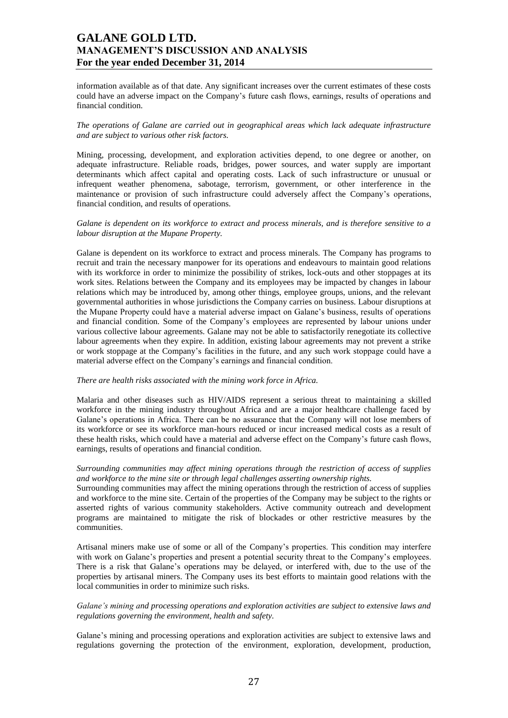information available as of that date. Any significant increases over the current estimates of these costs could have an adverse impact on the Company's future cash flows, earnings, results of operations and financial condition.

### *The operations of Galane are carried out in geographical areas which lack adequate infrastructure and are subject to various other risk factors.*

Mining, processing, development, and exploration activities depend, to one degree or another, on adequate infrastructure. Reliable roads, bridges, power sources, and water supply are important determinants which affect capital and operating costs. Lack of such infrastructure or unusual or infrequent weather phenomena, sabotage, terrorism, government, or other interference in the maintenance or provision of such infrastructure could adversely affect the Company's operations, financial condition, and results of operations.

#### *Galane is dependent on its workforce to extract and process minerals, and is therefore sensitive to a labour disruption at the Mupane Property.*

Galane is dependent on its workforce to extract and process minerals. The Company has programs to recruit and train the necessary manpower for its operations and endeavours to maintain good relations with its workforce in order to minimize the possibility of strikes, lock-outs and other stoppages at its work sites. Relations between the Company and its employees may be impacted by changes in labour relations which may be introduced by, among other things, employee groups, unions, and the relevant governmental authorities in whose jurisdictions the Company carries on business. Labour disruptions at the Mupane Property could have a material adverse impact on Galane's business, results of operations and financial condition. Some of the Company's employees are represented by labour unions under various collective labour agreements. Galane may not be able to satisfactorily renegotiate its collective labour agreements when they expire. In addition, existing labour agreements may not prevent a strike or work stoppage at the Company's facilities in the future, and any such work stoppage could have a material adverse effect on the Company's earnings and financial condition.

#### *There are health risks associated with the mining work force in Africa.*

Malaria and other diseases such as HIV/AIDS represent a serious threat to maintaining a skilled workforce in the mining industry throughout Africa and are a major healthcare challenge faced by Galane's operations in Africa. There can be no assurance that the Company will not lose members of its workforce or see its workforce man-hours reduced or incur increased medical costs as a result of these health risks, which could have a material and adverse effect on the Company's future cash flows, earnings, results of operations and financial condition.

### *Surrounding communities may affect mining operations through the restriction of access of supplies and workforce to the mine site or through legal challenges asserting ownership rights.*

Surrounding communities may affect the mining operations through the restriction of access of supplies and workforce to the mine site. Certain of the properties of the Company may be subject to the rights or asserted rights of various community stakeholders. Active community outreach and development programs are maintained to mitigate the risk of blockades or other restrictive measures by the communities.

Artisanal miners make use of some or all of the Company's properties. This condition may interfere with work on Galane's properties and present a potential security threat to the Company's employees. There is a risk that Galane's operations may be delayed, or interfered with, due to the use of the properties by artisanal miners. The Company uses its best efforts to maintain good relations with the local communities in order to minimize such risks.

### *Galane's mining and processing operations and exploration activities are subject to extensive laws and regulations governing the environment, health and safety.*

Galane's mining and processing operations and exploration activities are subject to extensive laws and regulations governing the protection of the environment, exploration, development, production,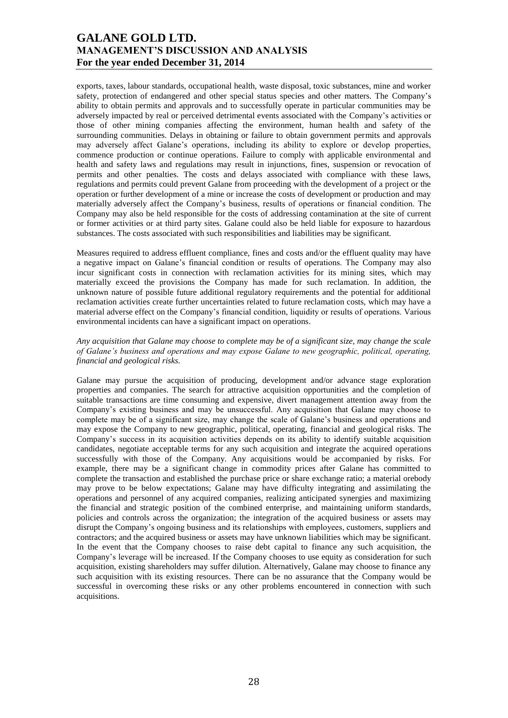exports, taxes, labour standards, occupational health, waste disposal, toxic substances, mine and worker safety, protection of endangered and other special status species and other matters. The Company's ability to obtain permits and approvals and to successfully operate in particular communities may be adversely impacted by real or perceived detrimental events associated with the Company's activities or those of other mining companies affecting the environment, human health and safety of the surrounding communities. Delays in obtaining or failure to obtain government permits and approvals may adversely affect Galane's operations, including its ability to explore or develop properties, commence production or continue operations. Failure to comply with applicable environmental and health and safety laws and regulations may result in injunctions, fines, suspension or revocation of permits and other penalties. The costs and delays associated with compliance with these laws, regulations and permits could prevent Galane from proceeding with the development of a project or the operation or further development of a mine or increase the costs of development or production and may materially adversely affect the Company's business, results of operations or financial condition. The Company may also be held responsible for the costs of addressing contamination at the site of current or former activities or at third party sites. Galane could also be held liable for exposure to hazardous substances. The costs associated with such responsibilities and liabilities may be significant.

Measures required to address effluent compliance, fines and costs and/or the effluent quality may have a negative impact on Galane's financial condition or results of operations. The Company may also incur significant costs in connection with reclamation activities for its mining sites, which may materially exceed the provisions the Company has made for such reclamation. In addition, the unknown nature of possible future additional regulatory requirements and the potential for additional reclamation activities create further uncertainties related to future reclamation costs, which may have a material adverse effect on the Company's financial condition, liquidity or results of operations. Various environmental incidents can have a significant impact on operations.

#### *Any acquisition that Galane may choose to complete may be of a significant size, may change the scale of Galane's business and operations and may expose Galane to new geographic, political, operating, financial and geological risks.*

Galane may pursue the acquisition of producing, development and/or advance stage exploration properties and companies. The search for attractive acquisition opportunities and the completion of suitable transactions are time consuming and expensive, divert management attention away from the Company's existing business and may be unsuccessful. Any acquisition that Galane may choose to complete may be of a significant size, may change the scale of Galane's business and operations and may expose the Company to new geographic, political, operating, financial and geological risks. The Company's success in its acquisition activities depends on its ability to identify suitable acquisition candidates, negotiate acceptable terms for any such acquisition and integrate the acquired operations successfully with those of the Company. Any acquisitions would be accompanied by risks. For example, there may be a significant change in commodity prices after Galane has committed to complete the transaction and established the purchase price or share exchange ratio; a material orebody may prove to be below expectations; Galane may have difficulty integrating and assimilating the operations and personnel of any acquired companies, realizing anticipated synergies and maximizing the financial and strategic position of the combined enterprise, and maintaining uniform standards, policies and controls across the organization; the integration of the acquired business or assets may disrupt the Company's ongoing business and its relationships with employees, customers, suppliers and contractors; and the acquired business or assets may have unknown liabilities which may be significant. In the event that the Company chooses to raise debt capital to finance any such acquisition, the Company's leverage will be increased. If the Company chooses to use equity as consideration for such acquisition, existing shareholders may suffer dilution. Alternatively, Galane may choose to finance any such acquisition with its existing resources. There can be no assurance that the Company would be successful in overcoming these risks or any other problems encountered in connection with such acquisitions.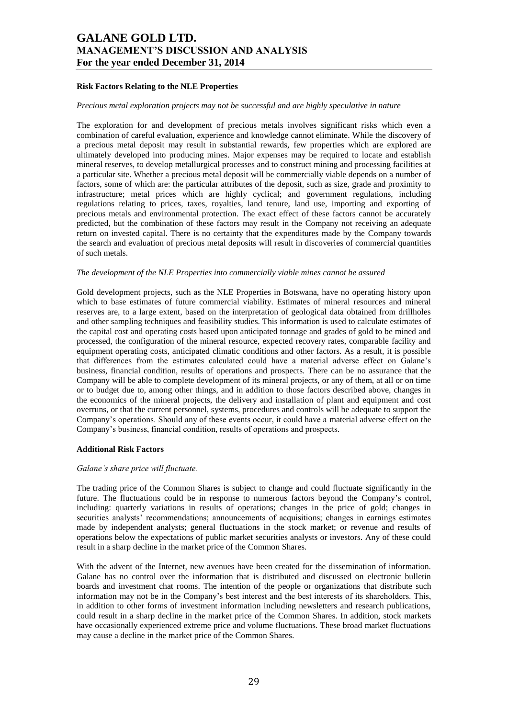### **Risk Factors Relating to the NLE Properties**

#### *Precious metal exploration projects may not be successful and are highly speculative in nature*

The exploration for and development of precious metals involves significant risks which even a combination of careful evaluation, experience and knowledge cannot eliminate. While the discovery of a precious metal deposit may result in substantial rewards, few properties which are explored are ultimately developed into producing mines. Major expenses may be required to locate and establish mineral reserves, to develop metallurgical processes and to construct mining and processing facilities at a particular site. Whether a precious metal deposit will be commercially viable depends on a number of factors, some of which are: the particular attributes of the deposit, such as size, grade and proximity to infrastructure; metal prices which are highly cyclical; and government regulations, including regulations relating to prices, taxes, royalties, land tenure, land use, importing and exporting of precious metals and environmental protection. The exact effect of these factors cannot be accurately predicted, but the combination of these factors may result in the Company not receiving an adequate return on invested capital. There is no certainty that the expenditures made by the Company towards the search and evaluation of precious metal deposits will result in discoveries of commercial quantities of such metals.

#### *The development of the NLE Properties into commercially viable mines cannot be assured*

Gold development projects, such as the NLE Properties in Botswana, have no operating history upon which to base estimates of future commercial viability. Estimates of mineral resources and mineral reserves are, to a large extent, based on the interpretation of geological data obtained from drillholes and other sampling techniques and feasibility studies. This information is used to calculate estimates of the capital cost and operating costs based upon anticipated tonnage and grades of gold to be mined and processed, the configuration of the mineral resource, expected recovery rates, comparable facility and equipment operating costs, anticipated climatic conditions and other factors. As a result, it is possible that differences from the estimates calculated could have a material adverse effect on Galane's business, financial condition, results of operations and prospects. There can be no assurance that the Company will be able to complete development of its mineral projects, or any of them, at all or on time or to budget due to, among other things, and in addition to those factors described above, changes in the economics of the mineral projects, the delivery and installation of plant and equipment and cost overruns, or that the current personnel, systems, procedures and controls will be adequate to support the Company's operations. Should any of these events occur, it could have a material adverse effect on the Company's business, financial condition, results of operations and prospects.

#### **Additional Risk Factors**

#### *Galane's share price will fluctuate.*

The trading price of the Common Shares is subject to change and could fluctuate significantly in the future. The fluctuations could be in response to numerous factors beyond the Company's control, including: quarterly variations in results of operations; changes in the price of gold; changes in securities analysts' recommendations; announcements of acquisitions; changes in earnings estimates made by independent analysts; general fluctuations in the stock market; or revenue and results of operations below the expectations of public market securities analysts or investors. Any of these could result in a sharp decline in the market price of the Common Shares.

With the advent of the Internet, new avenues have been created for the dissemination of information. Galane has no control over the information that is distributed and discussed on electronic bulletin boards and investment chat rooms. The intention of the people or organizations that distribute such information may not be in the Company's best interest and the best interests of its shareholders. This, in addition to other forms of investment information including newsletters and research publications, could result in a sharp decline in the market price of the Common Shares. In addition, stock markets have occasionally experienced extreme price and volume fluctuations. These broad market fluctuations may cause a decline in the market price of the Common Shares.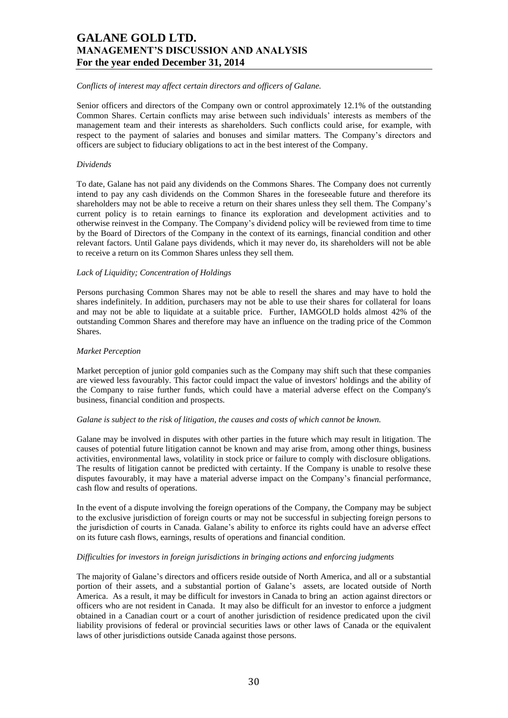#### *Conflicts of interest may affect certain directors and officers of Galane.*

Senior officers and directors of the Company own or control approximately 12.1% of the outstanding Common Shares. Certain conflicts may arise between such individuals' interests as members of the management team and their interests as shareholders. Such conflicts could arise, for example, with respect to the payment of salaries and bonuses and similar matters. The Company's directors and officers are subject to fiduciary obligations to act in the best interest of the Company.

#### *Dividends*

To date, Galane has not paid any dividends on the Commons Shares. The Company does not currently intend to pay any cash dividends on the Common Shares in the foreseeable future and therefore its shareholders may not be able to receive a return on their shares unless they sell them. The Company's current policy is to retain earnings to finance its exploration and development activities and to otherwise reinvest in the Company. The Company's dividend policy will be reviewed from time to time by the Board of Directors of the Company in the context of its earnings, financial condition and other relevant factors. Until Galane pays dividends, which it may never do, its shareholders will not be able to receive a return on its Common Shares unless they sell them.

#### *Lack of Liquidity; Concentration of Holdings*

Persons purchasing Common Shares may not be able to resell the shares and may have to hold the shares indefinitely. In addition, purchasers may not be able to use their shares for collateral for loans and may not be able to liquidate at a suitable price. Further, IAMGOLD holds almost 42% of the outstanding Common Shares and therefore may have an influence on the trading price of the Common Shares.

#### *Market Perception*

Market perception of junior gold companies such as the Company may shift such that these companies are viewed less favourably. This factor could impact the value of investors' holdings and the ability of the Company to raise further funds, which could have a material adverse effect on the Company's business, financial condition and prospects.

#### *Galane is subject to the risk of litigation, the causes and costs of which cannot be known.*

Galane may be involved in disputes with other parties in the future which may result in litigation. The causes of potential future litigation cannot be known and may arise from, among other things, business activities, environmental laws, volatility in stock price or failure to comply with disclosure obligations. The results of litigation cannot be predicted with certainty. If the Company is unable to resolve these disputes favourably, it may have a material adverse impact on the Company's financial performance, cash flow and results of operations.

In the event of a dispute involving the foreign operations of the Company, the Company may be subject to the exclusive jurisdiction of foreign courts or may not be successful in subjecting foreign persons to the jurisdiction of courts in Canada. Galane's ability to enforce its rights could have an adverse effect on its future cash flows, earnings, results of operations and financial condition.

### *Difficulties for investors in foreign jurisdictions in bringing actions and enforcing judgments*

The majority of Galane's directors and officers reside outside of North America, and all or a substantial portion of their assets, and a substantial portion of Galane's assets, are located outside of North America. As a result, it may be difficult for investors in Canada to bring an action against directors or officers who are not resident in Canada. It may also be difficult for an investor to enforce a judgment obtained in a Canadian court or a court of another jurisdiction of residence predicated upon the civil liability provisions of federal or provincial securities laws or other laws of Canada or the equivalent laws of other jurisdictions outside Canada against those persons.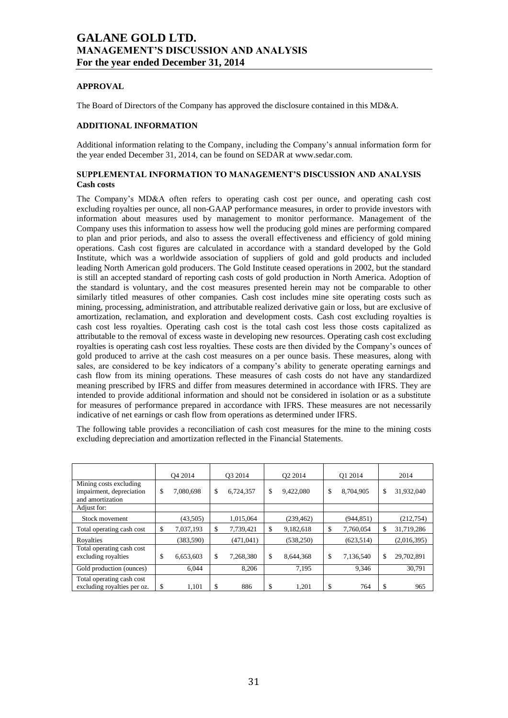## **APPROVAL**

The Board of Directors of the Company has approved the disclosure contained in this MD&A.

## **ADDITIONAL INFORMATION**

Additional information relating to the Company, including the Company's annual information form for the year ended December 31, 2014, can be found on SEDAR at www.sedar.com.

## **SUPPLEMENTAL INFORMATION TO MANAGEMENT'S DISCUSSION AND ANALYSIS Cash costs**

The Company's MD&A often refers to operating cash cost per ounce, and operating cash cost excluding royalties per ounce, all non-GAAP performance measures, in order to provide investors with information about measures used by management to monitor performance. Management of the Company uses this information to assess how well the producing gold mines are performing compared to plan and prior periods, and also to assess the overall effectiveness and efficiency of gold mining operations. Cash cost figures are calculated in accordance with a standard developed by the Gold Institute, which was a worldwide association of suppliers of gold and gold products and included leading North American gold producers. The Gold Institute ceased operations in 2002, but the standard is still an accepted standard of reporting cash costs of gold production in North America. Adoption of the standard is voluntary, and the cost measures presented herein may not be comparable to other similarly titled measures of other companies. Cash cost includes mine site operating costs such as mining, processing, administration, and attributable realized derivative gain or loss, but are exclusive of amortization, reclamation, and exploration and development costs. Cash cost excluding royalties is cash cost less royalties. Operating cash cost is the total cash cost less those costs capitalized as attributable to the removal of excess waste in developing new resources. Operating cash cost excluding royalties is operating cash cost less royalties. These costs are then divided by the Company's ounces of gold produced to arrive at the cash cost measures on a per ounce basis. These measures, along with sales, are considered to be key indicators of a company's ability to generate operating earnings and cash flow from its mining operations. These measures of cash costs do not have any standardized meaning prescribed by IFRS and differ from measures determined in accordance with IFRS. They are intended to provide additional information and should not be considered in isolation or as a substitute for measures of performance prepared in accordance with IFRS. These measures are not necessarily indicative of net earnings or cash flow from operations as determined under IFRS.

The following table provides a reconciliation of cash cost measures for the mine to the mining costs excluding depreciation and amortization reflected in the Financial Statements.

|                                                                        |               | O <sub>4</sub> 2014 | O <sub>3</sub> 2014 |            | O <sub>2</sub> 2014 |            | O1 2014         | 2014 |             |
|------------------------------------------------------------------------|---------------|---------------------|---------------------|------------|---------------------|------------|-----------------|------|-------------|
| Mining costs excluding<br>impairment, depreciation<br>and amortization | \$            | 7,080,698           | \$                  | 6,724,357  | \$                  | 9,422,080  | \$<br>8,704,905 | \$   | 31,932,040  |
| Adjust for:                                                            |               |                     |                     |            |                     |            |                 |      |             |
| Stock movement                                                         |               | (43,505)            |                     | 1,015,064  |                     | (239, 462) | (944, 851)      |      | (212, 754)  |
| Total operating cash cost                                              | $\mathbf{\$}$ | 7,037,193           | \$                  | 7,739,421  | \$                  | 9,182,618  | \$<br>7,760,054 | \$   | 31,719,286  |
| Royalties                                                              |               | (383, 590)          |                     | (471, 041) |                     | (538, 250) | (623, 514)      |      | (2,016,395) |
| Total operating cash cost<br>excluding royalties                       | \$            | 6,653,603           | \$                  | 7.268.380  | \$                  | 8.644.368  | \$<br>7,136,540 | \$   | 29,702,891  |
| Gold production (ounces)                                               |               | 6.044               |                     | 8,206      |                     | 7,195      | 9,346           |      | 30,791      |
| Total operating cash cost<br>excluding royalties per oz.               | \$            | 1,101               | \$                  | 886        | \$                  | 1.201      | \$<br>764       | S    | 965         |